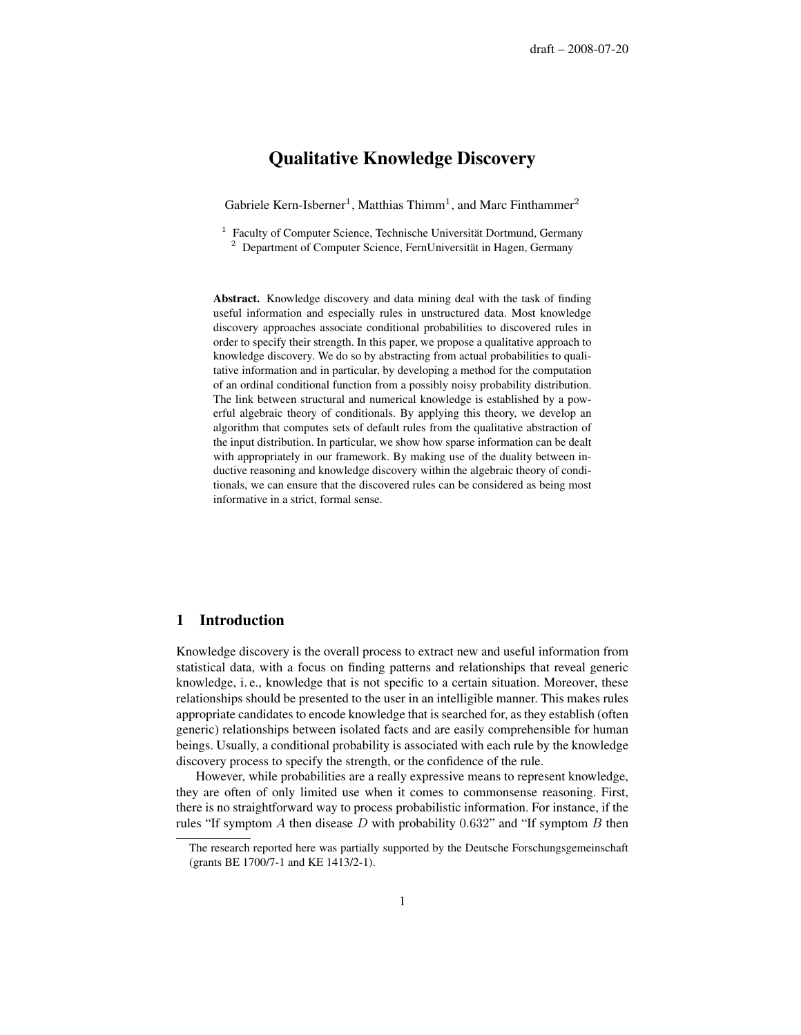# Qualitative Knowledge Discovery

Gabriele Kern-Isberner<sup>1</sup>, Matthias Thimm<sup>1</sup>, and Marc Finthammer<sup>2</sup>

<sup>1</sup> Faculty of Computer Science, Technische Universität Dortmund, Germany  $2$  Department of Computer Science, FernUniversität in Hagen, Germany

Abstract. Knowledge discovery and data mining deal with the task of finding useful information and especially rules in unstructured data. Most knowledge discovery approaches associate conditional probabilities to discovered rules in order to specify their strength. In this paper, we propose a qualitative approach to knowledge discovery. We do so by abstracting from actual probabilities to qualitative information and in particular, by developing a method for the computation of an ordinal conditional function from a possibly noisy probability distribution. The link between structural and numerical knowledge is established by a powerful algebraic theory of conditionals. By applying this theory, we develop an algorithm that computes sets of default rules from the qualitative abstraction of the input distribution. In particular, we show how sparse information can be dealt with appropriately in our framework. By making use of the duality between inductive reasoning and knowledge discovery within the algebraic theory of conditionals, we can ensure that the discovered rules can be considered as being most informative in a strict, formal sense.

### 1 Introduction

Knowledge discovery is the overall process to extract new and useful information from statistical data, with a focus on finding patterns and relationships that reveal generic knowledge, i. e., knowledge that is not specific to a certain situation. Moreover, these relationships should be presented to the user in an intelligible manner. This makes rules appropriate candidates to encode knowledge that is searched for, as they establish (often generic) relationships between isolated facts and are easily comprehensible for human beings. Usually, a conditional probability is associated with each rule by the knowledge discovery process to specify the strength, or the confidence of the rule.

However, while probabilities are a really expressive means to represent knowledge, they are often of only limited use when it comes to commonsense reasoning. First, there is no straightforward way to process probabilistic information. For instance, if the rules "If symptom A then disease D with probability  $0.632$ " and "If symptom B then

The research reported here was partially supported by the Deutsche Forschungsgemeinschaft (grants BE 1700/7-1 and KE 1413/2-1).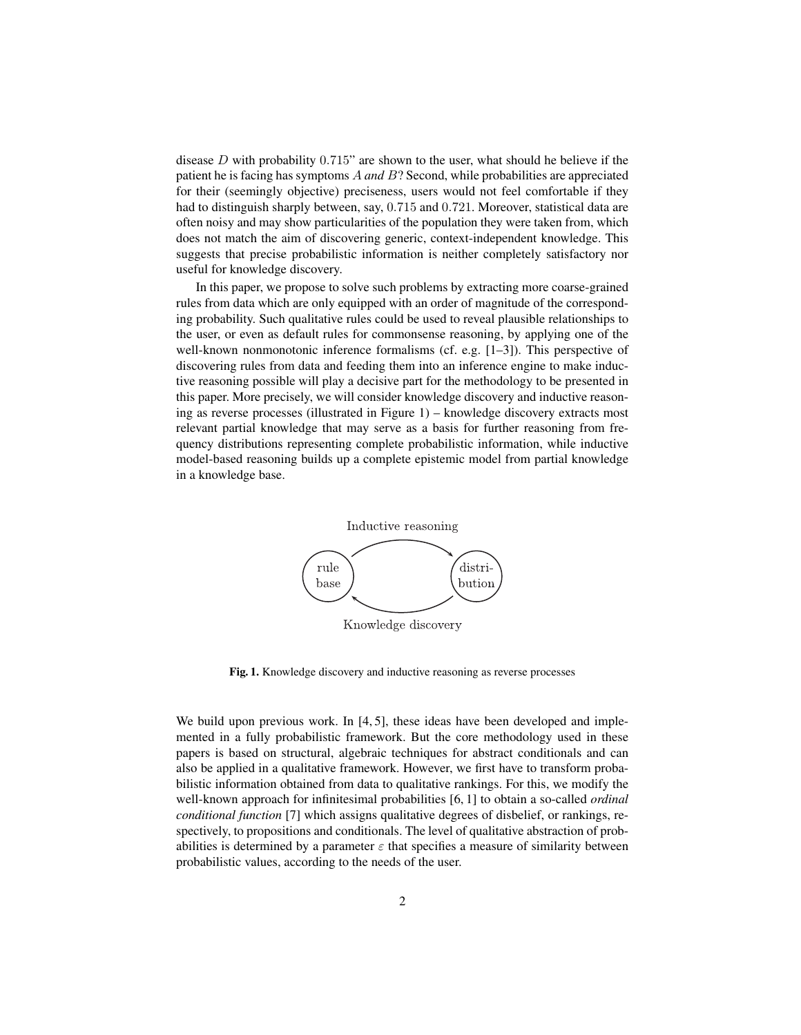disease  $D$  with probability 0.715" are shown to the user, what should he believe if the patient he is facing has symptoms A *and* B? Second, while probabilities are appreciated for their (seemingly objective) preciseness, users would not feel comfortable if they had to distinguish sharply between, say, 0.715 and 0.721. Moreover, statistical data are often noisy and may show particularities of the population they were taken from, which does not match the aim of discovering generic, context-independent knowledge. This suggests that precise probabilistic information is neither completely satisfactory nor useful for knowledge discovery.

In this paper, we propose to solve such problems by extracting more coarse-grained rules from data which are only equipped with an order of magnitude of the corresponding probability. Such qualitative rules could be used to reveal plausible relationships to the user, or even as default rules for commonsense reasoning, by applying one of the well-known nonmonotonic inference formalisms (cf. e.g. [1–3]). This perspective of discovering rules from data and feeding them into an inference engine to make inductive reasoning possible will play a decisive part for the methodology to be presented in this paper. More precisely, we will consider knowledge discovery and inductive reasoning as reverse processes (illustrated in Figure 1) – knowledge discovery extracts most relevant partial knowledge that may serve as a basis for further reasoning from frequency distributions representing complete probabilistic information, while inductive model-based reasoning builds up a complete epistemic model from partial knowledge in a knowledge base.



Fig. 1. Knowledge discovery and inductive reasoning as reverse processes

We build upon previous work. In [4, 5], these ideas have been developed and implemented in a fully probabilistic framework. But the core methodology used in these papers is based on structural, algebraic techniques for abstract conditionals and can also be applied in a qualitative framework. However, we first have to transform probabilistic information obtained from data to qualitative rankings. For this, we modify the well-known approach for infinitesimal probabilities [6, 1] to obtain a so-called *ordinal conditional function* [7] which assigns qualitative degrees of disbelief, or rankings, respectively, to propositions and conditionals. The level of qualitative abstraction of probabilities is determined by a parameter  $\varepsilon$  that specifies a measure of similarity between probabilistic values, according to the needs of the user.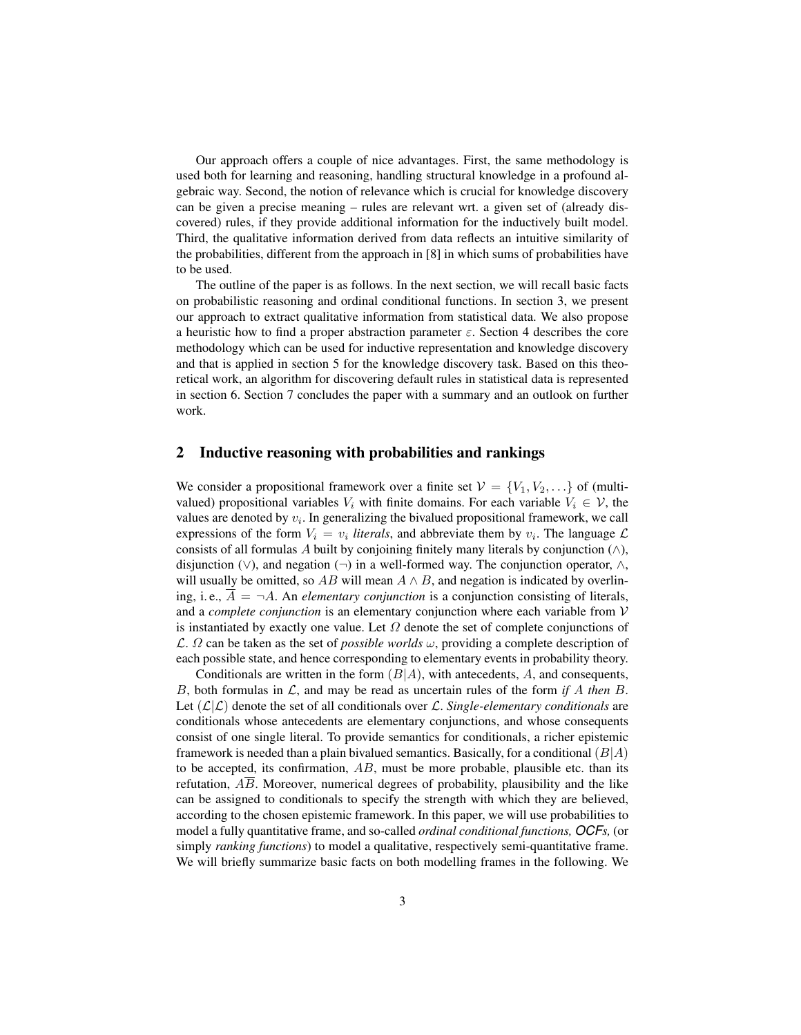Our approach offers a couple of nice advantages. First, the same methodology is used both for learning and reasoning, handling structural knowledge in a profound algebraic way. Second, the notion of relevance which is crucial for knowledge discovery can be given a precise meaning – rules are relevant wrt. a given set of (already discovered) rules, if they provide additional information for the inductively built model. Third, the qualitative information derived from data reflects an intuitive similarity of the probabilities, different from the approach in [8] in which sums of probabilities have to be used.

The outline of the paper is as follows. In the next section, we will recall basic facts on probabilistic reasoning and ordinal conditional functions. In section 3, we present our approach to extract qualitative information from statistical data. We also propose a heuristic how to find a proper abstraction parameter  $\varepsilon$ . Section 4 describes the core methodology which can be used for inductive representation and knowledge discovery and that is applied in section 5 for the knowledge discovery task. Based on this theoretical work, an algorithm for discovering default rules in statistical data is represented in section 6. Section 7 concludes the paper with a summary and an outlook on further work.

# 2 Inductive reasoning with probabilities and rankings

We consider a propositional framework over a finite set  $V = \{V_1, V_2, \ldots\}$  of (multivalued) propositional variables  $V_i$  with finite domains. For each variable  $V_i \in V$ , the values are denoted by  $v_i$ . In generalizing the bivalued propositional framework, we call expressions of the form  $V_i = v_i$  *literals*, and abbreviate them by  $v_i$ . The language  $\mathcal{L}$ consists of all formulas A built by conjoining finitely many literals by conjunction  $(∧),$ disjunction  $(\vee)$ , and negation  $(\neg)$  in a well-formed way. The conjunction operator,  $\wedge$ , will usually be omitted, so  $AB$  will mean  $A \wedge B$ , and negation is indicated by overlining, i.e.,  $\overline{A} = \neg A$ . An *elementary conjunction* is a conjunction consisting of literals, and a *complete conjunction* is an elementary conjunction where each variable from V is instantiated by exactly one value. Let  $\Omega$  denote the set of complete conjunctions of  $\mathcal{L}$ .  $\Omega$  can be taken as the set of *possible worlds*  $\omega$ , providing a complete description of each possible state, and hence corresponding to elementary events in probability theory.

Conditionals are written in the form  $(B|A)$ , with antecedents, A, and consequents, B, both formulas in  $\mathcal{L}$ , and may be read as uncertain rules of the form *if* A *then* B. Let  $(L|L)$  denote the set of all conditionals over L. *Single-elementary conditionals* are conditionals whose antecedents are elementary conjunctions, and whose consequents consist of one single literal. To provide semantics for conditionals, a richer epistemic framework is needed than a plain bivalued semantics. Basically, for a conditional  $(B|A)$ to be accepted, its confirmation,  $AB$ , must be more probable, plausible etc. than its refutation,  $\overline{AB}$ . Moreover, numerical degrees of probability, plausibility and the like can be assigned to conditionals to specify the strength with which they are believed, according to the chosen epistemic framework. In this paper, we will use probabilities to model a fully quantitative frame, and so-called *ordinal conditional functions, OCFs,* (or simply *ranking functions*) to model a qualitative, respectively semi-quantitative frame. We will briefly summarize basic facts on both modelling frames in the following. We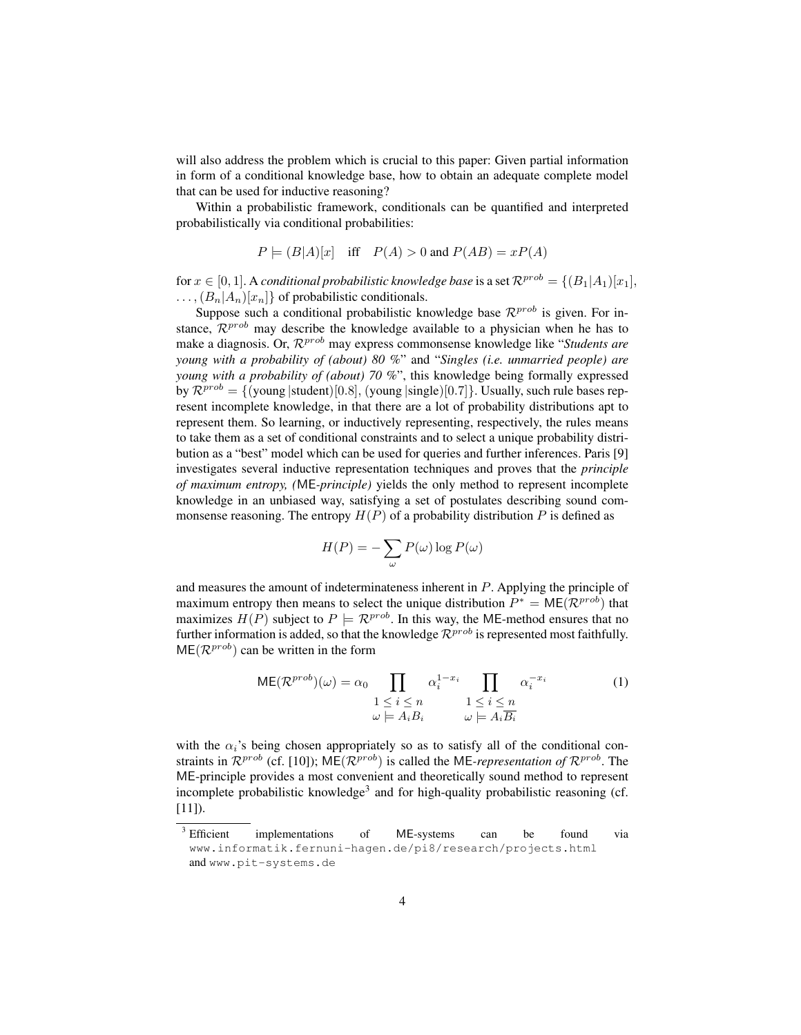will also address the problem which is crucial to this paper: Given partial information in form of a conditional knowledge base, how to obtain an adequate complete model that can be used for inductive reasoning?

Within a probabilistic framework, conditionals can be quantified and interpreted probabilistically via conditional probabilities:

$$
P \models (B|A)[x]
$$
 iff  $P(A) > 0$  and  $P(AB) = xP(A)$ 

for  $x \in [0, 1]$ . A *conditional probabilistic knowledge base* is a set  $\mathcal{R}^{prob} = \{(B_1|A_1)[x_1],$  $\ldots$ ,  $(B_n|A_n)[x_n]$  of probabilistic conditionals.

Suppose such a conditional probabilistic knowledge base  $\mathcal{R}^{prob}$  is given. For instance,  $\mathcal{R}^{prob}$  may describe the knowledge available to a physician when he has to make a diagnosis. Or,  $\mathcal{R}^{prob}$  may express commonsense knowledge like "*Students are young with a probability of (about) 80 %*" and "*Singles (i.e. unmarried people) are young with a probability of (about) 70 %*", this knowledge being formally expressed by  $\mathcal{R}^{prob} = \{$  (young |student)[0.8], (young |single)[0.7]}. Usually, such rule bases represent incomplete knowledge, in that there are a lot of probability distributions apt to represent them. So learning, or inductively representing, respectively, the rules means to take them as a set of conditional constraints and to select a unique probability distribution as a "best" model which can be used for queries and further inferences. Paris [9] investigates several inductive representation techniques and proves that the *principle of maximum entropy, (*ME*-principle)* yields the only method to represent incomplete knowledge in an unbiased way, satisfying a set of postulates describing sound commonsense reasoning. The entropy  $H(P)$  of a probability distribution P is defined as

$$
H(P) = -\sum_{\omega} P(\omega) \log P(\omega)
$$

and measures the amount of indeterminateness inherent in P. Applying the principle of maximum entropy then means to select the unique distribution  $P^* = \mathsf{ME}(\mathcal{R}^{prob})$  that maximizes  $H(P)$  subject to  $P \models \mathcal{R}^{prob}$ . In this way, the ME-method ensures that no further information is added, so that the knowledge  $\mathcal{R}^{prob}$  is represented most faithfully.  $ME(\mathcal{R}^{prob})$  can be written in the form

$$
ME(\mathcal{R}^{prob})(\omega) = \alpha_0 \prod_{\substack{1 \le i \le n \\ \omega \models A_iB_i}} \alpha_i^{1-x_i} \prod_{\substack{1 \le i \le n \\ \omega \models A_i\overline{B_i}}} \alpha_i^{-x_i}
$$
(1)

with the  $\alpha_i$ 's being chosen appropriately so as to satisfy all of the conditional constraints in  $\mathcal{R}^{prob}$  (cf. [10]);  $\mathsf{ME}(\mathcal{R}^{prob})$  is called the ME-*representation of*  $\mathcal{R}^{prob}$ . The ME-principle provides a most convenient and theoretically sound method to represent incomplete probabilistic knowledge<sup>3</sup> and for high-quality probabilistic reasoning (cf. [11]).

<sup>&</sup>lt;sup>3</sup> Efficient implementations of ME-systems can be found via www.informatik.fernuni-hagen.de/pi8/research/projects.html and www.pit-systems.de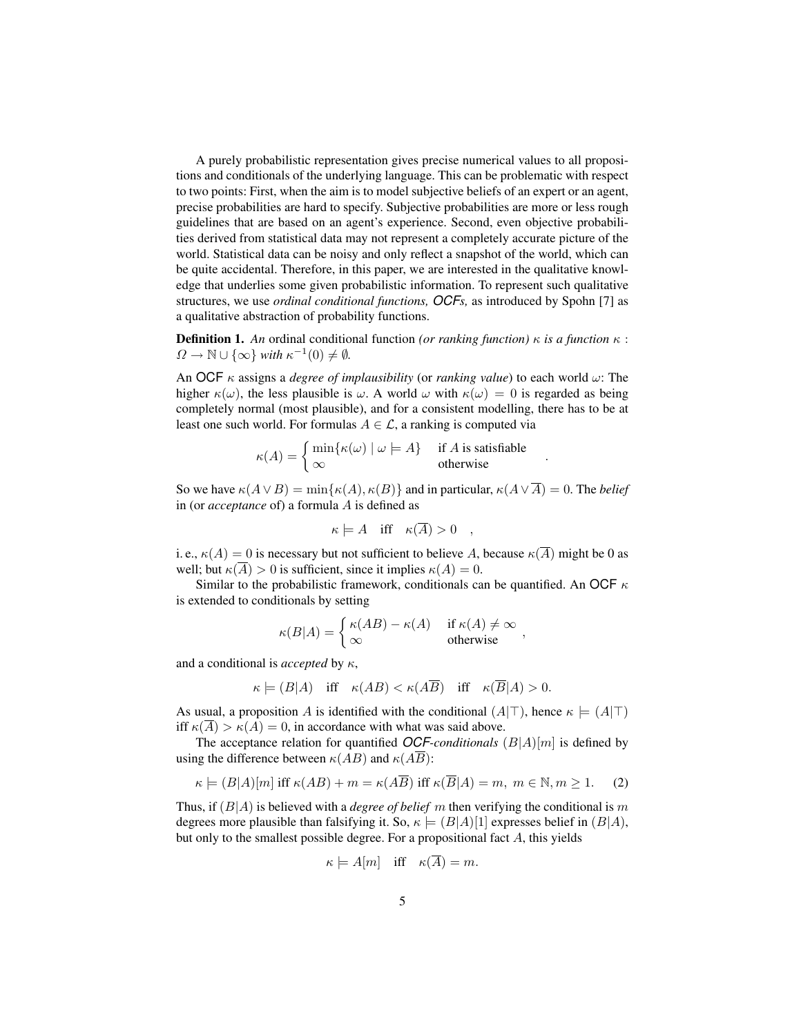A purely probabilistic representation gives precise numerical values to all propositions and conditionals of the underlying language. This can be problematic with respect to two points: First, when the aim is to model subjective beliefs of an expert or an agent, precise probabilities are hard to specify. Subjective probabilities are more or less rough guidelines that are based on an agent's experience. Second, even objective probabilities derived from statistical data may not represent a completely accurate picture of the world. Statistical data can be noisy and only reflect a snapshot of the world, which can be quite accidental. Therefore, in this paper, we are interested in the qualitative knowledge that underlies some given probabilistic information. To represent such qualitative structures, we use *ordinal conditional functions, OCFs,* as introduced by Spohn [7] as a qualitative abstraction of probability functions.

**Definition 1.** An ordinal conditional function *(or ranking function)*  $\kappa$  *is a function*  $\kappa$  :  $\Omega \to \mathbb{N} \cup \{\infty\}$  *with*  $\kappa^{-1}(0) \neq \emptyset$ .

An OCF κ assigns a *degree of implausibility* (or *ranking value*) to each world ω: The higher  $\kappa(\omega)$ , the less plausible is  $\omega$ . A world  $\omega$  with  $\kappa(\omega) = 0$  is regarded as being completely normal (most plausible), and for a consistent modelling, there has to be at least one such world. For formulas  $A \in \mathcal{L}$ , a ranking is computed via

$$
\kappa(A) = \begin{cases} \min\{\kappa(\omega) \mid \omega \models A\} & \text{if } A \text{ is satisfiable} \\ \infty & \text{otherwise} \end{cases}.
$$

So we have  $\kappa(A \vee B) = \min{\kappa(A), \kappa(B)}$  and in particular,  $\kappa(A \vee \overline{A}) = 0$ . The *belief* in (or *acceptance* of) a formula A is defined as

$$
\kappa \models A \quad \text{iff} \quad \kappa(A) > 0 \quad ,
$$

i. e.,  $\kappa(A) = 0$  is necessary but not sufficient to believe A, because  $\kappa(\overline{A})$  might be 0 as well; but  $\kappa(\overline{A}) > 0$  is sufficient, since it implies  $\kappa(A) = 0$ .

Similar to the probabilistic framework, conditionals can be quantified. An OCF  $\kappa$ is extended to conditionals by setting

$$
\kappa(B|A) = \begin{cases} \kappa(AB) - \kappa(A) & \text{if } \kappa(A) \neq \infty \\ \infty & \text{otherwise} \end{cases}
$$

and a conditional is *accepted* by κ,

$$
\kappa \models (B|A) \quad \text{iff} \quad \kappa(AB) < \kappa(A\overline{B}) \quad \text{iff} \quad \kappa(\overline{B}|A) > 0.
$$

As usual, a proposition A is identified with the conditional  $(A|\top)$ , hence  $\kappa \models (A|\top)$ iff  $\kappa(\overline{A}) > \kappa(A) = 0$ , in accordance with what was said above.

The acceptance relation for quantified *OCF-conditionals* (B|A)[m] is defined by using the difference between  $\kappa(AB)$  and  $\kappa(\overline{AB})$ :

$$
\kappa \models (B|A)[m] \text{ iff } \kappa(AB) + m = \kappa(A\overline{B}) \text{ iff } \kappa(\overline{B}|A) = m, \ m \in \mathbb{N}, m \ge 1. \tag{2}
$$

Thus, if  $(B|A)$  is believed with a *degree of belief* m then verifying the conditional is m degrees more plausible than falsifying it. So,  $\kappa \models (B|A)[1]$  expresses belief in  $(B|A)$ , but only to the smallest possible degree. For a propositional fact  $A$ , this yields

$$
\kappa \models A[m] \quad \text{iff} \quad \kappa(\overline{A}) = m.
$$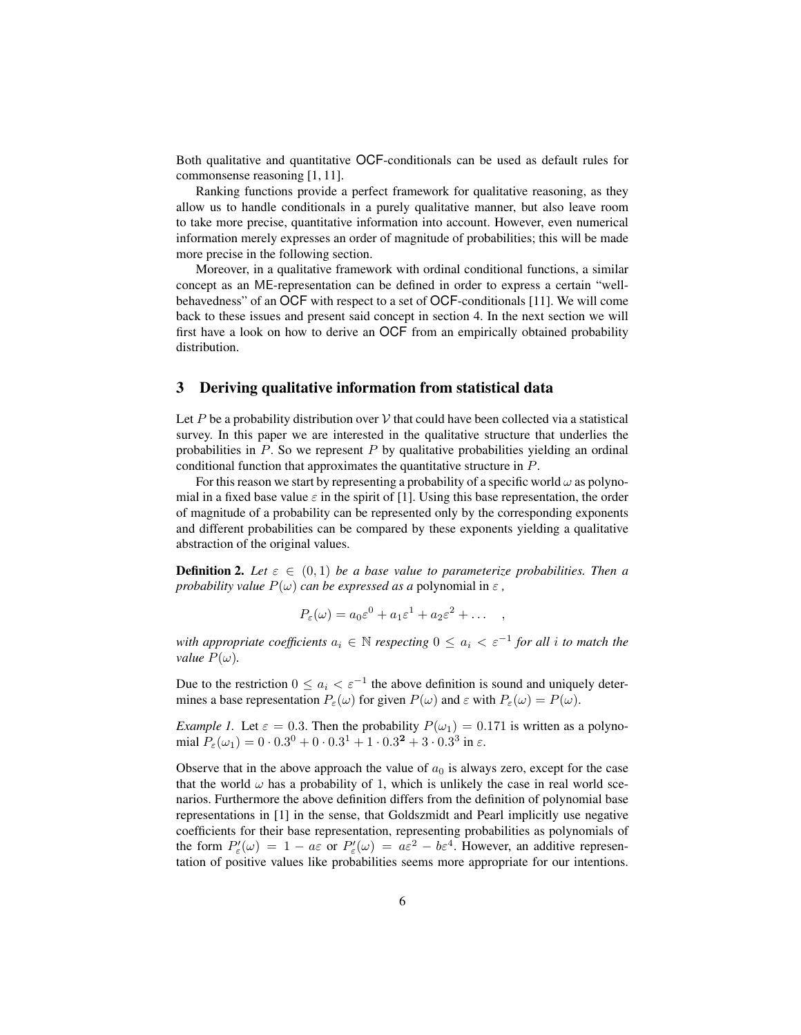Both qualitative and quantitative OCF-conditionals can be used as default rules for commonsense reasoning [1, 11].

Ranking functions provide a perfect framework for qualitative reasoning, as they allow us to handle conditionals in a purely qualitative manner, but also leave room to take more precise, quantitative information into account. However, even numerical information merely expresses an order of magnitude of probabilities; this will be made more precise in the following section.

Moreover, in a qualitative framework with ordinal conditional functions, a similar concept as an ME-representation can be defined in order to express a certain "wellbehavedness" of an OCF with respect to a set of OCF-conditionals [11]. We will come back to these issues and present said concept in section 4. In the next section we will first have a look on how to derive an OCF from an empirically obtained probability distribution.

# 3 Deriving qualitative information from statistical data

Let P be a probability distribution over V that could have been collected via a statistical survey. In this paper we are interested in the qualitative structure that underlies the probabilities in  $P$ . So we represent  $P$  by qualitative probabilities yielding an ordinal conditional function that approximates the quantitative structure in P.

For this reason we start by representing a probability of a specific world  $\omega$  as polynomial in a fixed base value  $\varepsilon$  in the spirit of [1]. Using this base representation, the order of magnitude of a probability can be represented only by the corresponding exponents and different probabilities can be compared by these exponents yielding a qualitative abstraction of the original values.

**Definition 2.** Let  $\varepsilon \in (0,1)$  be a base value to parameterize probabilities. Then a *probability value*  $P(\omega)$  *can be expressed as a polynomial in*  $\varepsilon$ *,* 

$$
P_{\varepsilon}(\omega) = a_0 \varepsilon^0 + a_1 \varepsilon^1 + a_2 \varepsilon^2 + \dots ,
$$

*with appropriate coefficients*  $a_i \in \mathbb{N}$  *respecting*  $0 \le a_i < \varepsilon^{-1}$  *for all i to match the value*  $P(\omega)$ *.* 

Due to the restriction  $0 \le a_i < \varepsilon^{-1}$  the above definition is sound and uniquely determines a base representation  $P_{\varepsilon}(\omega)$  for given  $P(\omega)$  and  $\varepsilon$  with  $P_{\varepsilon}(\omega) = P(\omega)$ .

*Example 1.* Let  $\varepsilon = 0.3$ . Then the probability  $P(\omega_1) = 0.171$  is written as a polynomial  $P_{\varepsilon}(\omega_1) = 0 \cdot 0.3^0 + 0 \cdot 0.3^1 + 1 \cdot 0.3^2 + 3 \cdot 0.3^3$  in  $\varepsilon$ .

Observe that in the above approach the value of  $a_0$  is always zero, except for the case that the world  $\omega$  has a probability of 1, which is unlikely the case in real world scenarios. Furthermore the above definition differs from the definition of polynomial base representations in [1] in the sense, that Goldszmidt and Pearl implicitly use negative coefficients for their base representation, representing probabilities as polynomials of the form  $P'_{\varepsilon}(\omega) = 1 - a\varepsilon$  or  $P'_{\varepsilon}(\omega) = a\varepsilon^2 - b\varepsilon^4$ . However, an additive representation of positive values like probabilities seems more appropriate for our intentions.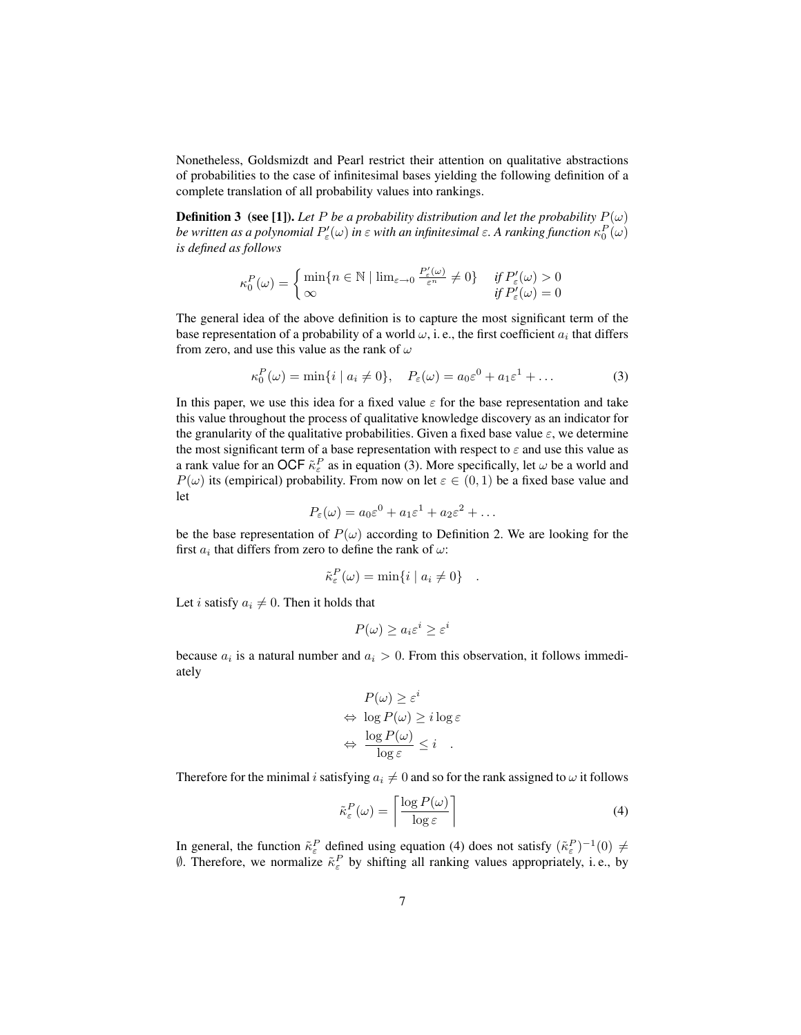Nonetheless, Goldsmizdt and Pearl restrict their attention on qualitative abstractions of probabilities to the case of infinitesimal bases yielding the following definition of a complete translation of all probability values into rankings.

**Definition 3** (see [1]). Let P be a probability distribution and let the probability  $P(\omega)$ be written as a polynomial  $P'_\varepsilon(\omega)$  in  $\varepsilon$  with an infinitesimal  $\varepsilon.$  A ranking function  $\kappa_0^P(\omega)$ *is defined as follows*

$$
\kappa_0^P(\omega) = \begin{cases} \min\{n \in \mathbb{N} \mid \lim_{\varepsilon \to 0} \frac{P'_\varepsilon(\omega)}{\varepsilon^n} \neq 0\} & \text{if } P'_\varepsilon(\omega) > 0\\ \infty & \text{if } P'_\varepsilon(\omega) = 0 \end{cases}
$$

The general idea of the above definition is to capture the most significant term of the base representation of a probability of a world  $\omega$ , i. e., the first coefficient  $a_i$  that differs from zero, and use this value as the rank of  $\omega$ 

$$
\kappa_0^P(\omega) = \min\{i \mid a_i \neq 0\}, \quad P_{\varepsilon}(\omega) = a_0 \varepsilon^0 + a_1 \varepsilon^1 + \dots \tag{3}
$$

In this paper, we use this idea for a fixed value  $\varepsilon$  for the base representation and take this value throughout the process of qualitative knowledge discovery as an indicator for the granularity of the qualitative probabilities. Given a fixed base value  $\varepsilon$ , we determine the most significant term of a base representation with respect to  $\varepsilon$  and use this value as a rank value for an OCF  $\tilde{\kappa}_{\varepsilon}^P$  as in equation (3). More specifically, let  $\omega$  be a world and  $P(\omega)$  its (empirical) probability. From now on let  $\varepsilon \in (0,1)$  be a fixed base value and let

$$
P_{\varepsilon}(\omega) = a_0 \varepsilon^0 + a_1 \varepsilon^1 + a_2 \varepsilon^2 + \dots
$$

be the base representation of  $P(\omega)$  according to Definition 2. We are looking for the first  $a_i$  that differs from zero to define the rank of  $\omega$ :

$$
\tilde{\kappa}_{\varepsilon}^{P}(\omega) = \min\{i \mid a_{i} \neq 0\} .
$$

Let *i* satisfy  $a_i \neq 0$ . Then it holds that

$$
P(\omega) \ge a_i \varepsilon^i \ge \varepsilon^i
$$

because  $a_i$  is a natural number and  $a_i > 0$ . From this observation, it follows immediately

$$
P(\omega) \ge \varepsilon^i
$$
  
\n
$$
\Leftrightarrow \log P(\omega) \ge i \log \varepsilon
$$
  
\n
$$
\Leftrightarrow \frac{\log P(\omega)}{\log \varepsilon} \le i
$$

Therefore for the minimal i satisfying  $a_i \neq 0$  and so for the rank assigned to  $\omega$  it follows

$$
\tilde{\kappa}_{\varepsilon}^{P}(\omega) = \left\lceil \frac{\log P(\omega)}{\log \varepsilon} \right\rceil \tag{4}
$$

In general, the function  $\tilde{\kappa}^P_{\varepsilon}$  defined using equation (4) does not satisfy  $(\tilde{\kappa}^P_{\varepsilon})^{-1}(0) \neq$  $\emptyset$ . Therefore, we normalize  $\tilde{\kappa}_{\varepsilon}^P$  by shifting all ranking values appropriately, i.e., by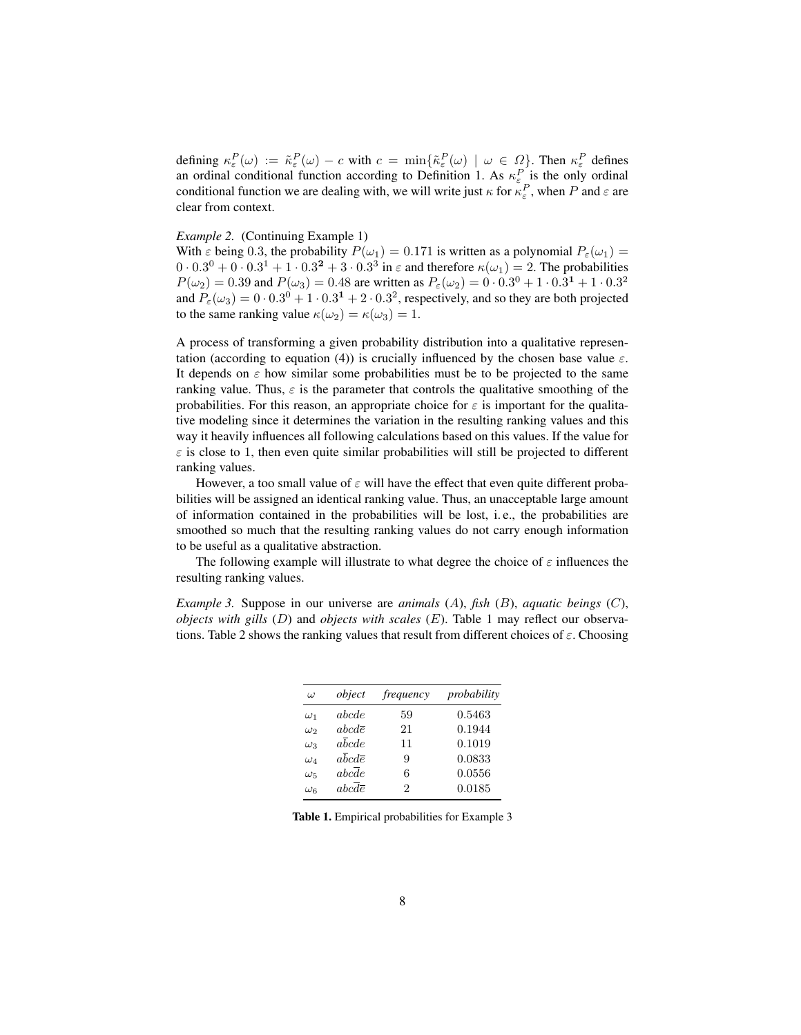defining  $\kappa_{\varepsilon}^P(\omega) := \tilde{\kappa}_{\varepsilon}^P(\omega) - c$  with  $c = \min{\{\tilde{\kappa}_{\varepsilon}^P(\omega) \mid \omega \in \Omega\}}$ . Then  $\kappa_{\varepsilon}^P$  defines an ordinal conditional function according to Definition 1. As  $\kappa_{\varepsilon}^P$  is the only ordinal conditional function we are dealing with, we will write just  $\kappa$  for  $\kappa_{\varepsilon}^P$ , when P and  $\varepsilon$  are clear from context.

#### *Example 2.* (Continuing Example 1)

With  $\varepsilon$  being 0.3, the probability  $P(\omega_1) = 0.171$  is written as a polynomial  $P_{\varepsilon}(\omega_1) =$  $0.0 \cdot 0.3^0 + 0.0 \cdot 0.3^1 + 1.0 \cdot 0.3^2 + 3.0 \cdot 0.3^3$  in  $\varepsilon$  and therefore  $\kappa(\omega_1) = 2$ . The probabilities  $P(\omega_2) = 0.39$  and  $P(\omega_3) = 0.48$  are written as  $P_\varepsilon(\omega_2) = 0 \cdot 0.3^0 + 1 \cdot 0.3^1 + 1 \cdot 0.3^2$ and  $P_{\varepsilon}(\omega_3) = 0.03^0 + 1.03^1 + 2.03^2$ , respectively, and so they are both projected to the same ranking value  $\kappa(\omega_2) = \kappa(\omega_3) = 1$ .

A process of transforming a given probability distribution into a qualitative representation (according to equation (4)) is crucially influenced by the chosen base value  $\varepsilon$ . It depends on  $\varepsilon$  how similar some probabilities must be to be projected to the same ranking value. Thus,  $\varepsilon$  is the parameter that controls the qualitative smoothing of the probabilities. For this reason, an appropriate choice for  $\varepsilon$  is important for the qualitative modeling since it determines the variation in the resulting ranking values and this way it heavily influences all following calculations based on this values. If the value for  $\varepsilon$  is close to 1, then even quite similar probabilities will still be projected to different ranking values.

However, a too small value of  $\varepsilon$  will have the effect that even quite different probabilities will be assigned an identical ranking value. Thus, an unacceptable large amount of information contained in the probabilities will be lost, i. e., the probabilities are smoothed so much that the resulting ranking values do not carry enough information to be useful as a qualitative abstraction.

The following example will illustrate to what degree the choice of  $\varepsilon$  influences the resulting ranking values.

*Example 3.* Suppose in our universe are *animals* (A), *fish* (B), *aquatic beings* (C), *objects with gills* (D) and *objects with scales* (E). Table 1 may reflect our observations. Table 2 shows the ranking values that result from different choices of  $\varepsilon$ . Choosing

| $\omega$     | object                        | frequency | probability |
|--------------|-------------------------------|-----------|-------------|
| $\omega_1$   | abcde                         | 59        | 0.5463      |
| $\omega_2$   | $abc d\overline{e}$           | 21        | 0.1944      |
| $\omega_3$   | $a\overline{b}cde$            | 11        | 0.1019      |
| $\omega_A$   | $a\overline{b}cd\overline{e}$ | 9         | 0.0833      |
| $\omega_{5}$ | abcde                         | 6         | 0.0556      |
| $\omega_{6}$ | $abc\overline{d}\overline{e}$ | 2         | 0.0185      |

Table 1. Empirical probabilities for Example 3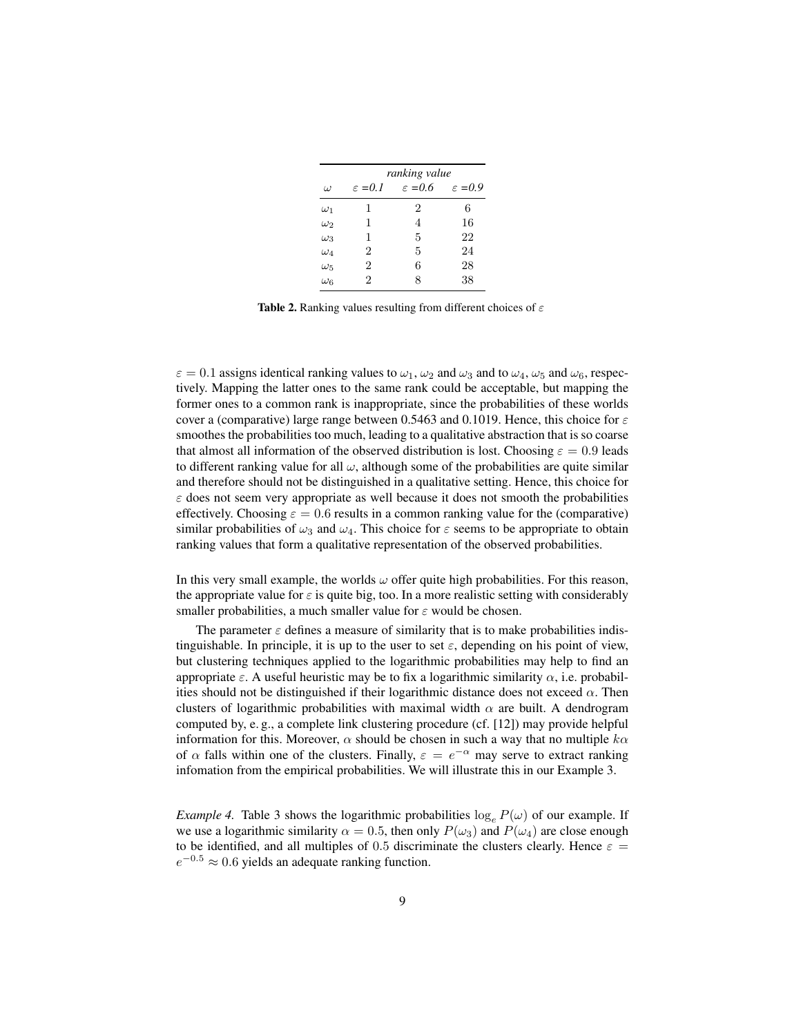|              | ranking value       |                     |                     |
|--------------|---------------------|---------------------|---------------------|
| $\omega$     | $\varepsilon = 0.1$ | $\varepsilon = 0.6$ | $\varepsilon = 0.9$ |
| $\omega_1$   | 1                   | 2                   | 6                   |
| $\omega_2$   | 1                   | 4                   | 16                  |
| $\omega_3$   | 1                   | 5                   | 22                  |
| $\omega_4$   | 2                   | 5                   | 24                  |
| $\omega_{5}$ | 2                   | 6                   | 28                  |
| $\omega_{6}$ | 2                   | 8                   | 38                  |

Table 2. Ranking values resulting from different choices of  $\varepsilon$ 

 $\varepsilon = 0.1$  assigns identical ranking values to  $\omega_1$ ,  $\omega_2$  and  $\omega_3$  and to  $\omega_4$ ,  $\omega_5$  and  $\omega_6$ , respectively. Mapping the latter ones to the same rank could be acceptable, but mapping the former ones to a common rank is inappropriate, since the probabilities of these worlds cover a (comparative) large range between 0.5463 and 0.1019. Hence, this choice for  $\varepsilon$ smoothes the probabilities too much, leading to a qualitative abstraction that is so coarse that almost all information of the observed distribution is lost. Choosing  $\varepsilon = 0.9$  leads to different ranking value for all  $\omega$ , although some of the probabilities are quite similar and therefore should not be distinguished in a qualitative setting. Hence, this choice for  $\varepsilon$  does not seem very appropriate as well because it does not smooth the probabilities effectively. Choosing  $\varepsilon = 0.6$  results in a common ranking value for the (comparative) similar probabilities of  $\omega_3$  and  $\omega_4$ . This choice for  $\varepsilon$  seems to be appropriate to obtain ranking values that form a qualitative representation of the observed probabilities.

In this very small example, the worlds  $\omega$  offer quite high probabilities. For this reason, the appropriate value for  $\varepsilon$  is quite big, too. In a more realistic setting with considerably smaller probabilities, a much smaller value for  $\varepsilon$  would be chosen.

The parameter  $\varepsilon$  defines a measure of similarity that is to make probabilities indistinguishable. In principle, it is up to the user to set  $\varepsilon$ , depending on his point of view, but clustering techniques applied to the logarithmic probabilities may help to find an appropriate  $\varepsilon$ . A useful heuristic may be to fix a logarithmic similarity  $\alpha$ , i.e. probabilities should not be distinguished if their logarithmic distance does not exceed  $\alpha$ . Then clusters of logarithmic probabilities with maximal width  $\alpha$  are built. A dendrogram computed by, e. g., a complete link clustering procedure (cf. [12]) may provide helpful information for this. Moreover,  $\alpha$  should be chosen in such a way that no multiple  $k\alpha$ of  $\alpha$  falls within one of the clusters. Finally,  $\varepsilon = e^{-\alpha}$  may serve to extract ranking infomation from the empirical probabilities. We will illustrate this in our Example 3.

*Example 4.* Table 3 shows the logarithmic probabilities  $\log_e P(\omega)$  of our example. If we use a logarithmic similarity  $\alpha = 0.5$ , then only  $P(\omega_3)$  and  $P(\omega_4)$  are close enough to be identified, and all multiples of 0.5 discriminate the clusters clearly. Hence  $\varepsilon$  =  $e^{-0.5} \approx 0.6$  yields an adequate ranking function.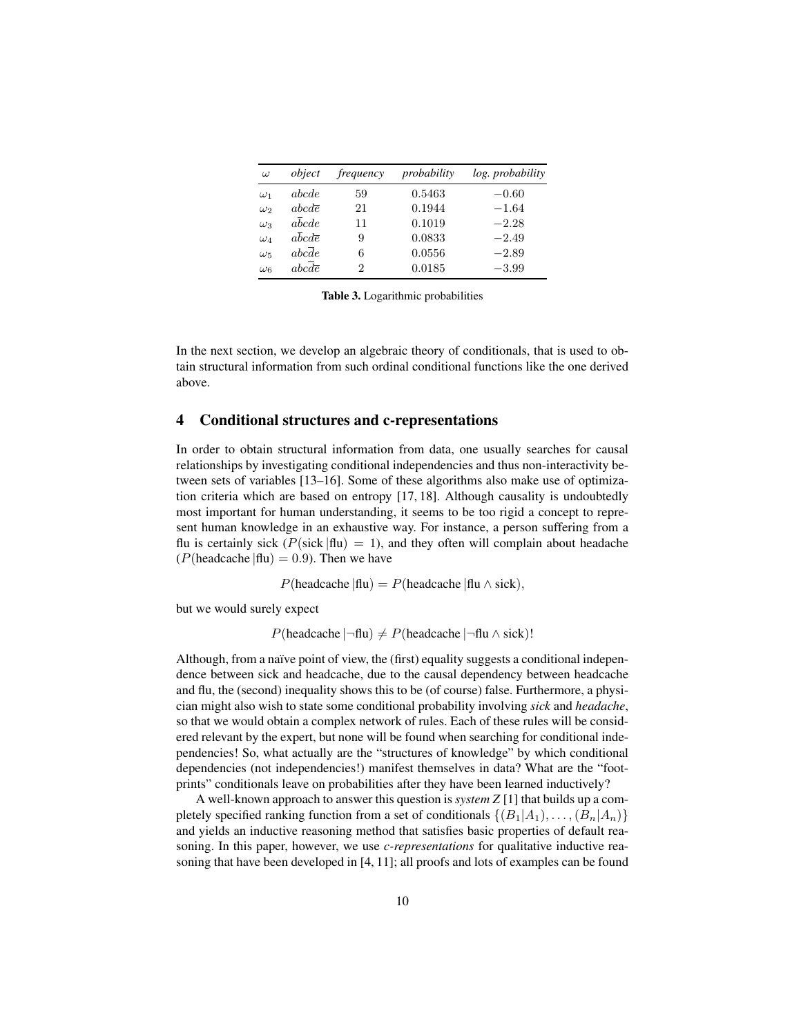| $\omega$   | object                        | frequency | probability | log. probability |
|------------|-------------------------------|-----------|-------------|------------------|
| $\omega_1$ | abcde                         | 59        | 0.5463      | $-0.60$          |
| $\omega_2$ | $abc d\overline{e}$           | 21        | 0.1944      | $-1.64$          |
| $\omega_3$ | abcde                         | 11        | 0.1019      | $-2.28$          |
| $\omega_4$ | $a\overline{b}cd\overline{e}$ | 9         | 0.0833      | $-2.49$          |
| $\omega_5$ | abcde                         | 6         | 0.0556      | $-2.89$          |
| $\omega_6$ | $abc\overline{d}\overline{e}$ | 2         | 0.0185      | $-3.99$          |

Table 3. Logarithmic probabilities

In the next section, we develop an algebraic theory of conditionals, that is used to obtain structural information from such ordinal conditional functions like the one derived above.

## 4 Conditional structures and c-representations

In order to obtain structural information from data, one usually searches for causal relationships by investigating conditional independencies and thus non-interactivity between sets of variables [13–16]. Some of these algorithms also make use of optimization criteria which are based on entropy [17, 18]. Although causality is undoubtedly most important for human understanding, it seems to be too rigid a concept to represent human knowledge in an exhaustive way. For instance, a person suffering from a flu is certainly sick ( $P(\text{sick} | \text{flu}) = 1$ ), and they often will complain about headache ( $P$ (headcache  $|$ flu) = 0.9). Then we have

 $P(\text{headcache} | \text{flu}) = P(\text{headcache} | \text{flu} \wedge \text{sick}),$ 

but we would surely expect

 $P(\text{header} \mid \neg \text{flu}) \neq P(\text{header} \mid \neg \text{flu} \land \text{sick})!$ 

Although, from a naïve point of view, the (first) equality suggests a conditional independence between sick and headcache, due to the causal dependency between headcache and flu, the (second) inequality shows this to be (of course) false. Furthermore, a physician might also wish to state some conditional probability involving *sick* and *headache*, so that we would obtain a complex network of rules. Each of these rules will be considered relevant by the expert, but none will be found when searching for conditional independencies! So, what actually are the "structures of knowledge" by which conditional dependencies (not independencies!) manifest themselves in data? What are the "footprints" conditionals leave on probabilities after they have been learned inductively?

A well-known approach to answer this question is *system Z* [1] that builds up a completely specified ranking function from a set of conditionals  $\{(B_1|A_1), \ldots, (B_n|A_n)\}\$ and yields an inductive reasoning method that satisfies basic properties of default reasoning. In this paper, however, we use *c-representations* for qualitative inductive reasoning that have been developed in [4, 11]; all proofs and lots of examples can be found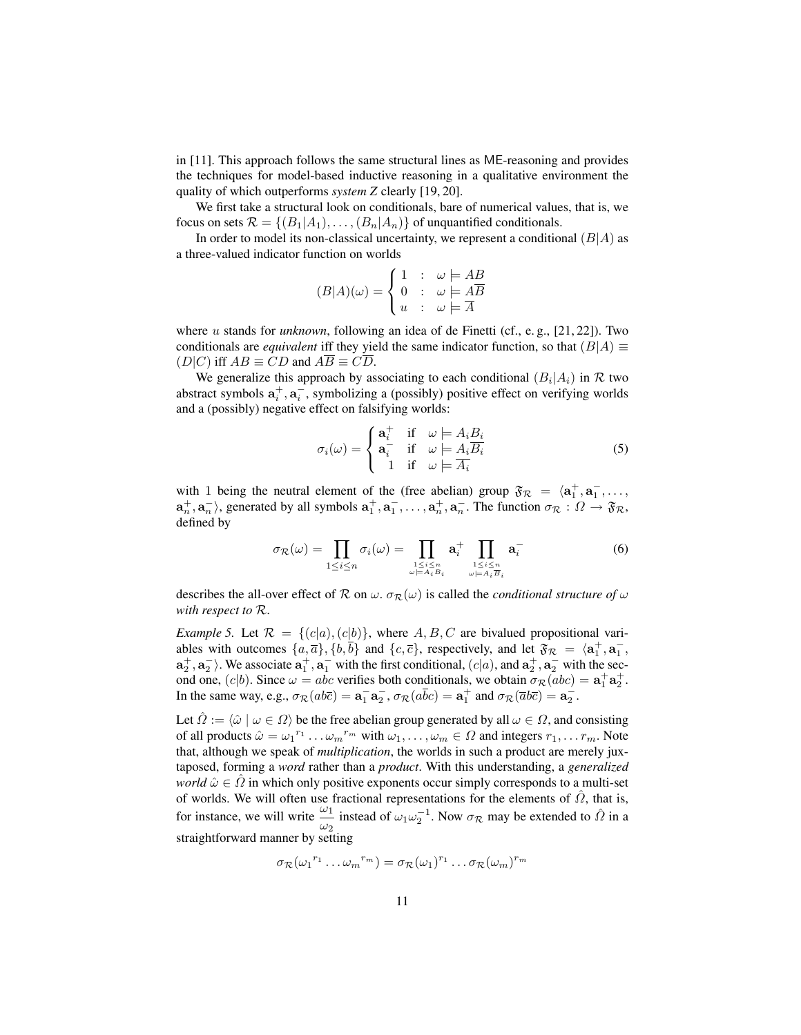in [11]. This approach follows the same structural lines as ME-reasoning and provides the techniques for model-based inductive reasoning in a qualitative environment the quality of which outperforms *system Z* clearly [19, 20].

We first take a structural look on conditionals, bare of numerical values, that is, we focus on sets  $\mathcal{R} = \{(B_1|A_1), \ldots, (B_n|A_n)\}\$ of unquantified conditionals.

In order to model its non-classical uncertainty, we represent a conditional  $(B|A)$  as a three-valued indicator function on worlds

$$
(B|A)(\omega) = \begin{cases} 1 & \colon & \omega \models AB \\ 0 & \colon & \omega \models \overline{AB} \\ u & \colon & \omega \models \overline{A} \end{cases}
$$

where *u* stands for *unknown*, following an idea of de Finetti (cf., e.g., [21, 22]). Two conditionals are *equivalent* iff they yield the same indicator function, so that  $(B|A) \equiv$  $(D|C)$  iff  $AB \equiv CD$  and  $\overline{AB} \equiv \overline{CD}$ .

We generalize this approach by associating to each conditional  $(B_i|A_i)$  in R two abstract symbols  $a_i^+, a_i^-,$  symbolizing a (possibly) positive effect on verifying worlds and a (possibly) negative effect on falsifying worlds:

$$
\sigma_i(\omega) = \begin{cases} \mathbf{a}_i^+ & \text{if } \omega = A_i B_i \\ \mathbf{a}_i^- & \text{if } \omega = A_i \overline{B_i} \\ 1 & \text{if } \omega = \overline{A_i} \end{cases}
$$
(5)

with 1 being the neutral element of the (free abelian) group  $\mathfrak{F}_R = \langle a_1^+, a_1^-, \ldots, a_n^+ \rangle$  $\{a_n^+, a_n^-\}$ , generated by all symbols  $a_1^+, a_1^-, \ldots, a_n^+, a_n^-$ . The function  $\sigma_{\mathcal{R}} : \Omega \to \mathfrak{F}_{\mathcal{R}}$ , defined by

$$
\sigma_{\mathcal{R}}(\omega) = \prod_{1 \leq i \leq n} \sigma_i(\omega) = \prod_{\substack{1 \leq i \leq n \\ \omega \models A_i B_i}} \mathbf{a}_i^+ \prod_{\substack{1 \leq i \leq n \\ \omega \models A_i B_i}} \mathbf{a}_i^- \tag{6}
$$

describes the all-over effect of R on  $\omega$ .  $\sigma_R(\omega)$  is called the *conditional structure of*  $\omega$ *with respect to* R.

*Example 5.* Let  $\mathcal{R} = \{(c|a), (c|b)\}\$ , where A, B, C are bivalued propositional variables with outcomes  $\{a,\overline{a}\}, \{b,\overline{b}\}$  and  $\{c,\overline{c}\}$ , respectively, and let  $\mathfrak{F}_\mathcal{R} = \langle \mathbf{a}_1^+, \mathbf{a}_1^-, \rangle$  $a_2^+, a_2^-$ ). We associate  $a_1^+, a_1^-$  with the first conditional,  $(c|a)$ , and  $a_2^+, a_2^-$  with the second one,  $(c|b)$ . Since  $\omega = abc$  verifies both conditionals, we obtain  $\sigma_R(abc) = \mathbf{a}_1^+ \mathbf{a}_2^+$ . In the same way, e.g.,  $\sigma_{\mathcal{R}}(ab\overline{c}) = \mathbf{a}_1^- \mathbf{a}_2^-$ ,  $\sigma_{\mathcal{R}}(a\overline{b}c) = \mathbf{a}_1^+$  and  $\sigma_{\mathcal{R}}(\overline{a}b\overline{c}) = \mathbf{a}_2^-$ .

Let  $\hat{\Omega} := \langle \hat{\omega} | \omega \in \Omega \rangle$  be the free abelian group generated by all  $\omega \in \Omega$ , and consisting of all products  $\hat{\omega} = \omega_1^{r_1} \dots \omega_m^{r_m}$  with  $\omega_1, \dots, \omega_m \in \Omega$  and integers  $r_1, \dots r_m$ . Note that, although we speak of *multiplication*, the worlds in such a product are merely juxtaposed, forming a *word* rather than a *product*. With this understanding, a *generalized world*  $\hat{\omega} \in \Omega$  in which only positive exponents occur simply corresponds to a multi-set of worlds. We will often use fractional representations for the elements of  $\hat{\Omega}$ , that is, for instance, we will write  $\frac{\omega_1}{\omega_2}$  instead of  $\omega_1 \omega_2^{-1}$ . Now  $\sigma_{\mathcal{R}}$  may be extended to  $\hat{\Omega}$  in a straightforward manner by setting

$$
\sigma_{\mathcal{R}}(\omega_1^{r_1}\dots\omega_m^{r_m})=\sigma_{\mathcal{R}}(\omega_1)^{r_1}\dots\sigma_{\mathcal{R}}(\omega_m)^{r_m}
$$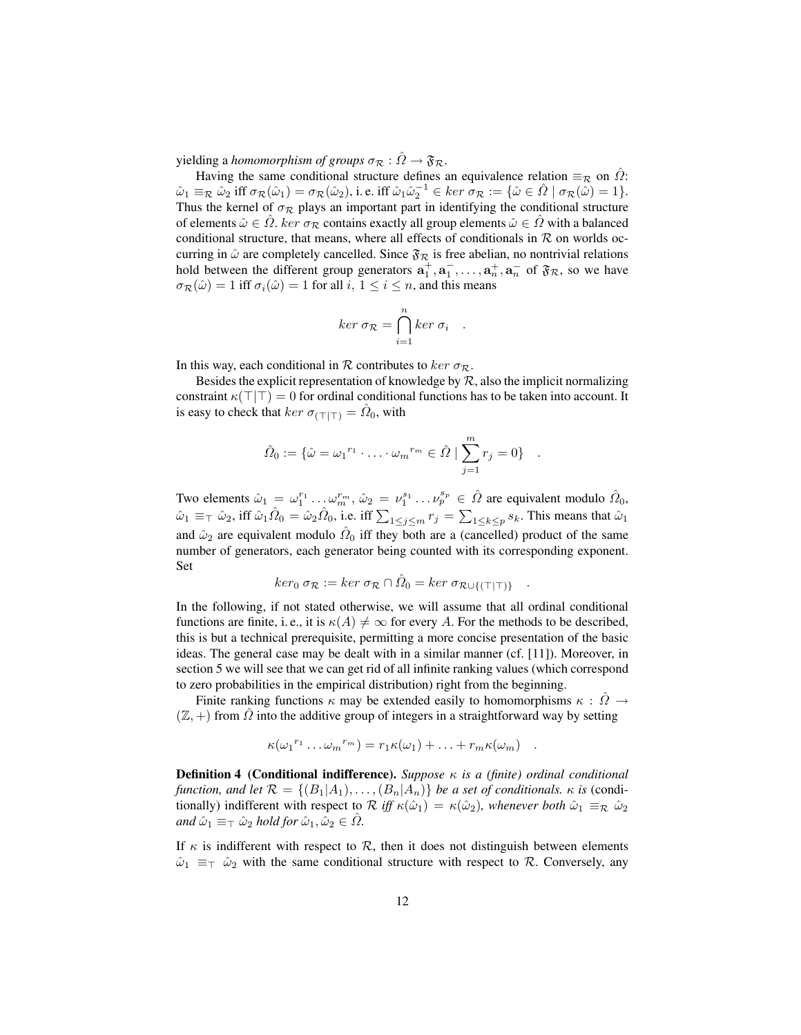yielding a *homomorphism of groups*  $\sigma_{\mathcal{R}} : \hat{\Omega} \to \mathfrak{F}_{\mathcal{R}}$ .

Having the same conditional structure defines an equivalence relation  $\equiv_{\mathcal{R}}$  on  $\hat{\Omega}$ :  $\hat{\omega}_1 \equiv_{\mathcal{R}} \hat{\omega}_2 \text{ iff } \sigma_{\mathcal{R}}(\hat{\omega}_1) = \sigma_{\mathcal{R}}(\hat{\omega}_2), \text{ i.e. iff } \hat{\omega}_1 \hat{\omega}_2^{-1} \in \ker \sigma_{\mathcal{R}} := \{ \hat{\omega} \in \hat{\Omega} \mid \sigma_{\mathcal{R}}(\hat{\omega}) = 1 \}.$ Thus the kernel of  $\sigma_{\mathcal{R}}$  plays an important part in identifying the conditional structure of elements  $\hat{\omega} \in \Omega$ . ker  $\sigma_{\mathcal{R}}$  contains exactly all group elements  $\hat{\omega} \in \Omega$  with a balanced conditional structure, that means, where all effects of conditionals in  $R$  on worlds occurring in  $\hat{\omega}$  are completely cancelled. Since  $\mathfrak{F}_R$  is free abelian, no nontrivial relations hold between the different group generators  $a_1^+, a_1^-, \ldots, a_n^+, a_n^-$  of  $\mathfrak{F}_R$ , so we have  $\sigma_{\mathcal{R}}(\hat{\omega}) = 1$  iff  $\sigma_i(\hat{\omega}) = 1$  for all  $i, 1 \le i \le n$ , and this means

$$
ker \sigma_{\mathcal{R}} = \bigcap_{i=1}^{n} ker \sigma_{i}
$$

.

In this way, each conditional in R contributes to ker  $\sigma_{\mathcal{R}}$ .

Besides the explicit representation of knowledge by  $R$ , also the implicit normalizing constraint  $\kappa(T|T) = 0$  for ordinal conditional functions has to be taken into account. It is easy to check that  $ker \sigma_{(\top|\top)} = \hat{\Omega}_0$ , with

$$
\hat{\Omega}_0 := \{ \hat{\omega} = {\omega_1}^{r_1} \cdot \ldots \cdot {\omega_m}^{r_m} \in \hat{\Omega} \mid \sum_{j=1}^m r_j = 0 \} .
$$

Two elements  $\hat{\omega}_1 = \omega_1^{r_1} \dots \omega_m^{r_m}$ ,  $\hat{\omega}_2 = \nu_1^{s_1} \dots \nu_p^{s_p} \in \hat{\Omega}$  are equivalent modulo  $\hat{\Omega}_0$ ,  $\hat{\omega}_1 \equiv \pm \hat{\omega}_2$ , iff  $\hat{\omega}_1 \hat{\Omega}_0 = \hat{\omega}_2 \hat{\Omega}_0$ , i.e. iff  $\sum_{1 \leq j \leq m} r_j = \sum_{1 \leq k \leq p} s_k$ . This means that  $\hat{\omega}_1$ and  $\hat{\omega}_2$  are equivalent modulo  $\hat{\Omega}_0$  iff they both are a (cancelled) product of the same number of generators, each generator being counted with its corresponding exponent. Set

$$
ker_0 \sigma_{\mathcal{R}} := ker \sigma_{\mathcal{R}} \cap \hat{\Omega}_0 = ker \sigma_{\mathcal{R} \cup \{(\top | \top)\}} .
$$

In the following, if not stated otherwise, we will assume that all ordinal conditional functions are finite, i.e., it is  $\kappa(A) \neq \infty$  for every A. For the methods to be described, this is but a technical prerequisite, permitting a more concise presentation of the basic ideas. The general case may be dealt with in a similar manner (cf. [11]). Moreover, in section 5 we will see that we can get rid of all infinite ranking values (which correspond to zero probabilities in the empirical distribution) right from the beginning.

Finite ranking functions  $\kappa$  may be extended easily to homomorphisms  $\kappa : \Omega \rightarrow$  $(\mathbb{Z}, +)$  from  $\Omega$  into the additive group of integers in a straightforward way by setting

$$
\kappa(\omega_1^{r_1}\dots\omega_m^{r_m})=r_1\kappa(\omega_1)+\dots+r_m\kappa(\omega_m)\quad.
$$

Definition 4 (Conditional indifference). *Suppose* κ *is a (finite) ordinal conditional function, and let*  $\mathcal{R} = \{ (B_1 | A_1), \ldots, (B_n | A_n) \}$  *be a set of conditionals.*  $\kappa$  *is* (conditionally) indifferent with respect to  $\mathcal R$  *iff*  $\kappa(\hat{\omega}_1) = \kappa(\hat{\omega}_2)$ *, whenever both*  $\hat{\omega}_1 \equiv_{\mathcal R} \hat{\omega}_2$ *and*  $\hat{\omega}_1 \equiv \pm \hat{\omega}_2$  *hold for*  $\hat{\omega}_1, \hat{\omega}_2 \in \hat{\Omega}$ *.* 

If  $\kappa$  is indifferent with respect to  $\mathcal{R}$ , then it does not distinguish between elements  $\hat{\omega}_1 \equiv_\top \hat{\omega}_2$  with the same conditional structure with respect to R. Conversely, any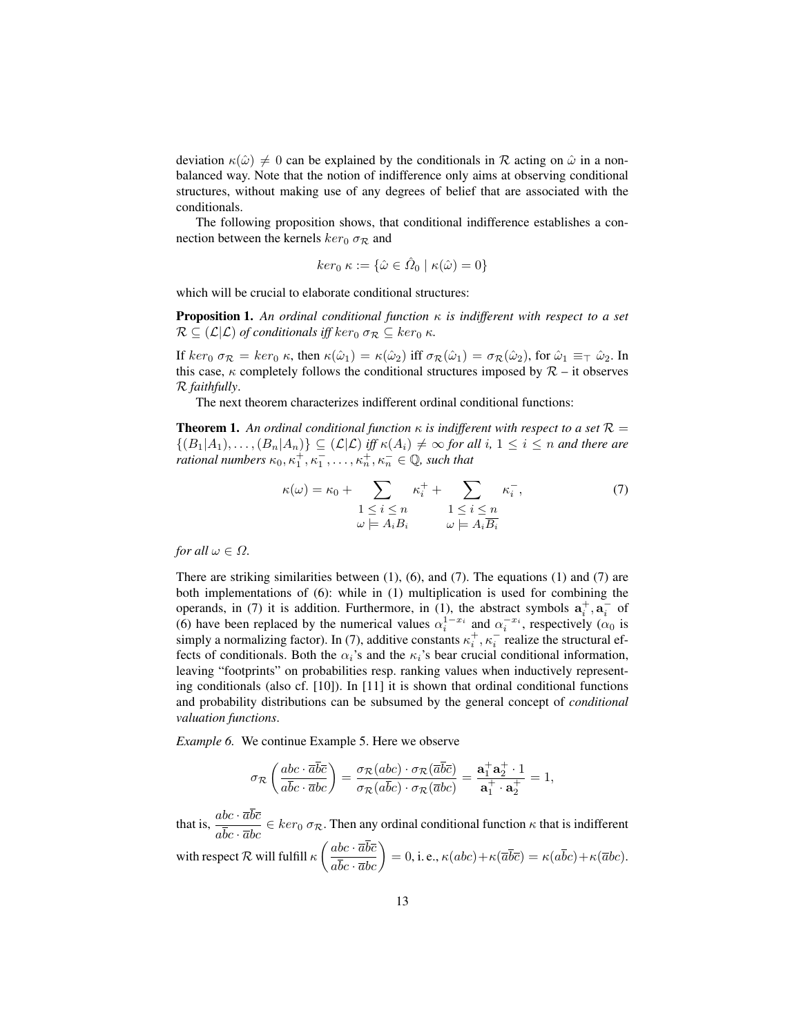deviation  $\kappa(\hat{\omega}) \neq 0$  can be explained by the conditionals in R acting on  $\hat{\omega}$  in a nonbalanced way. Note that the notion of indifference only aims at observing conditional structures, without making use of any degrees of belief that are associated with the conditionals.

The following proposition shows, that conditional indifference establishes a connection between the kernels  $ker_0 \sigma_{\mathcal{R}}$  and

$$
ker_0 \kappa := \{ \hat{\omega} \in \hat{\Omega}_0 \mid \kappa(\hat{\omega}) = 0 \}
$$

which will be crucial to elaborate conditional structures:

Proposition 1. *An ordinal conditional function* κ *is indifferent with respect to a set*  $\mathcal{R} \subseteq (\mathcal{L}|\mathcal{L})$  of conditionals iff ker<sub>0</sub>  $\sigma_{\mathcal{R}} \subseteq \ker_0 \kappa$ .

If  $ker_0 \sigma_{\mathcal{R}} = ker_0 \kappa$ , then  $\kappa(\hat{\omega}_1) = \kappa(\hat{\omega}_2)$  iff  $\sigma_{\mathcal{R}}(\hat{\omega}_1) = \sigma_{\mathcal{R}}(\hat{\omega}_2)$ , for  $\hat{\omega}_1 \equiv \pm \hat{\omega}_2$ . In this case,  $\kappa$  completely follows the conditional structures imposed by  $\mathcal{R}$  – it observes R *faithfully*.

The next theorem characterizes indifferent ordinal conditional functions:

**Theorem 1.** An ordinal conditional function  $\kappa$  is indifferent with respect to a set  $\mathcal{R} =$  $\{(B_1|A_1), \ldots, (B_n|A_n)\}\subseteq (\mathcal{L}|\mathcal{L})$  *iff*  $\kappa(A_i)\neq \infty$  *for all*  $i, 1 \leq i \leq n$  *and there are rational numbers*  $\kappa_0, \kappa_1^+, \kappa_1^-, \ldots, \kappa_n^+, \kappa_n^- \in \mathbb{Q}$ , such that

$$
\kappa(\omega) = \kappa_0 + \sum_{\substack{1 \le i \le n \\ \omega \models A_i B_i}} \kappa_i^+ + \sum_{\substack{1 \le i \le n \\ \omega \models A_i \overline{B_i}}} \kappa_i^-, \tag{7}
$$

*for all*  $\omega \in \Omega$ *.* 

There are striking similarities between  $(1)$ ,  $(6)$ , and  $(7)$ . The equations  $(1)$  and  $(7)$  are both implementations of (6): while in (1) multiplication is used for combining the operands, in (7) it is addition. Furthermore, in (1), the abstract symbols  $a_i^+, a_i^-$  of (6) have been replaced by the numerical values  $\alpha_i^{1-x_i}$  and  $\alpha_i^{-x_i}$ , respectively  $(\alpha_0$  is simply a normalizing factor). In (7), additive constants  $\kappa_i^+, \kappa_i^-$  realize the structural effects of conditionals. Both the  $\alpha_i$ 's and the  $\kappa_i$ 's bear crucial conditional information, leaving "footprints" on probabilities resp. ranking values when inductively representing conditionals (also cf.  $[10]$ ). In  $[11]$  it is shown that ordinal conditional functions and probability distributions can be subsumed by the general concept of *conditional valuation functions*.

*Example 6.* We continue Example 5. Here we observe

$$
\sigma_{\mathcal{R}}\left(\frac{abc\cdot\overline{a}\overline{b}\overline{c}}{a\overline{b}c\cdot\overline{a}bc}\right)=\frac{\sigma_{\mathcal{R}}(abc)\cdot\sigma_{\mathcal{R}}(\overline{a}\overline{b}\overline{c})}{\sigma_{\mathcal{R}}(a\overline{b}c)\cdot\sigma_{\mathcal{R}}(\overline{a}bc)}=\frac{\mathbf{a}_1^+\mathbf{a}_2^+\cdot 1}{\mathbf{a}_1^+\cdot \mathbf{a}_2^+}=1,
$$

that is,  $\frac{abc \cdot \overline{a}b\overline{c}}{a\overline{b}c \cdot \overline{a}bc} \in \ker_0 \sigma_{\mathcal{R}}$ . Then any ordinal conditional function  $\kappa$  that is indifferent

with respect  $\mathcal R$  will fulfill  $\kappa \left( \frac{abc \cdot \overline{a} \overline{b} \overline{c}}{a \overline{b} c \cdot \overline{a} b c} \right) = 0$ , i. e.,  $\kappa (abc) + \kappa (\overline{a} \overline{b} \overline{c}) = \kappa (a \overline{b} c) + \kappa (\overline{a} b c)$ .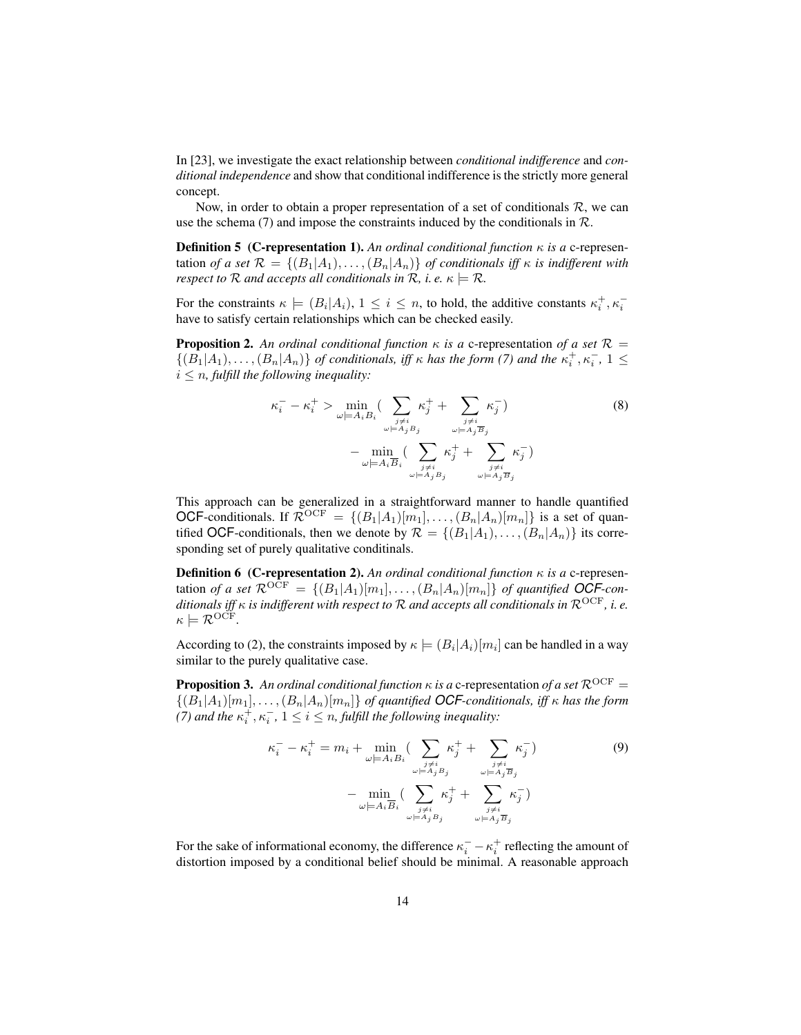In [23], we investigate the exact relationship between *conditional indifference* and *conditional independence* and show that conditional indifference is the strictly more general concept.

Now, in order to obtain a proper representation of a set of conditionals  $R$ , we can use the schema (7) and impose the constraints induced by the conditionals in  $\mathcal{R}$ .

**Definition 5 (C-representation 1).** An ordinal conditional function  $\kappa$  is a c-representation *of a set*  $\mathcal{R} = \{ (B_1 | A_1), \ldots, (B_n | A_n) \}$  *of conditionals iff*  $\kappa$  *is indifferent with respect to*  $R$  *and accepts all conditionals in*  $R$ *, i.e.*  $\kappa \models R$ *.* 

For the constraints  $\kappa \models (B_i|A_i), 1 \leq i \leq n$ , to hold, the additive constants  $\kappa_i^+, \kappa_i^$ have to satisfy certain relationships which can be checked easily.

**Proposition 2.** An ordinal conditional function  $\kappa$  is a c-representation of a set  $\mathcal{R} =$  $\{(B_1|A_1), \ldots, (B_n|A_n)\}\$  *of conditionals, iff*  $\kappa$  *has the form* (7) and the  $\kappa_i^+$ ,  $\kappa_i^-$ ,  $1 \leq$  $i \leq n$ , fulfill the following inequality:

$$
\kappa_i^- - \kappa_i^+ > \min_{\omega \models A_i B_i} \left( \sum_{\substack{j \neq i \\ \omega \models A_j B_j}} \kappa_j^+ + \sum_{\substack{j \neq i \\ \omega \models A_j \overline{B}_j}} \kappa_j^- \right) \tag{8}
$$
\n
$$
- \min_{\omega \models A_i \overline{B}_i} \left( \sum_{\substack{j \neq i \\ \omega \models A_j B_j}} \kappa_j^+ + \sum_{\substack{j \neq i \\ \omega \models A_j \overline{B}_j}} \kappa_j^- \right)
$$

This approach can be generalized in a straightforward manner to handle quantified OCF-conditionals. If  $\mathcal{R}^{OCF} = \{(B_1|A_1)[m_1], \ldots, (B_n|A_n)[m_n]\}$  is a set of quantified OCF-conditionals, then we denote by  $\mathcal{R} = \{(B_1|A_1), \ldots, (B_n|A_n)\}\)$  its corresponding set of purely qualitative conditinals.

Definition 6 (C-representation 2). *An ordinal conditional function* κ *is a* c-representation *of a set*  $\mathcal{R}^{OCF} = \{(B_1|A_1)[m_1], \ldots, (B_n|A_n)[m_n]\}$  *of quantified OCF-conditionals iff* κ *is indifferent with respect to* R *and accepts all conditionals in* ROCF*, i. e.*  $\kappa \models \mathcal{R}^{\mathrm{OCF}}.$ 

According to (2), the constraints imposed by  $\kappa \models (B_i | A_i)[m_i]$  can be handled in a way similar to the purely qualitative case.

**Proposition 3.** An ordinal conditional function  $\kappa$  is a c-representation of a set  $\mathcal{R}^{OCF}$  =  $\{(B_1|A_1)[m_1], \ldots, (B_n|A_n)[m_n]\}$  *of quantified OCF-conditionals, iff*  $\kappa$  *has the form (7)* and the  $\kappa_i^+, \kappa_i^-, 1 \leq i \leq n$ , fulfill the following inequality:

$$
\kappa_i^- - \kappa_i^+ = m_i + \min_{\omega \models A_i B_i} \left( \sum_{\substack{j \neq i \\ \omega \models A_j B_j}} \kappa_j^+ + \sum_{\substack{j \neq i \\ \omega \models A_j \overline{B}_j}} \kappa_j^- \right) \tag{9}
$$

$$
- \min_{\omega \models A_i \overline{B}_i} \left( \sum_{\substack{j \neq i \\ \omega \models A_j B_j}} \kappa_j^+ + \sum_{\substack{j \neq i \\ \omega \models A_j \overline{B}_j}} \kappa_j^- \right)
$$

For the sake of informational economy, the difference  $\kappa_i^- - \kappa_i^+$  reflecting the amount of distortion imposed by a conditional belief should be minimal. A reasonable approach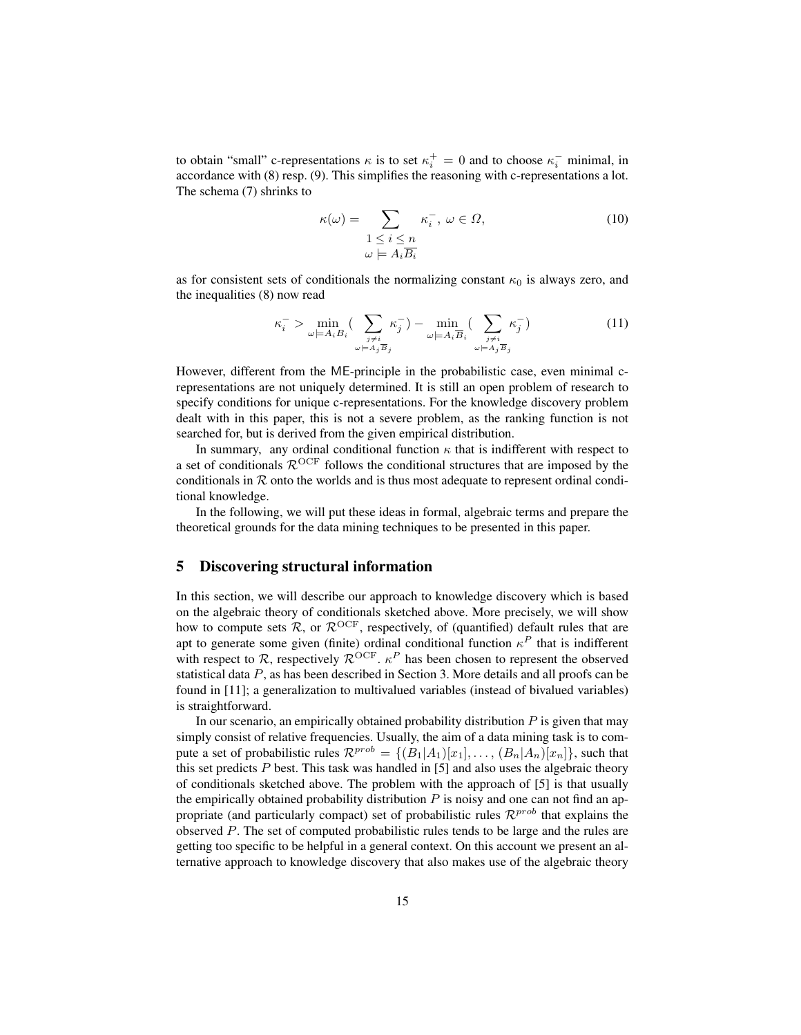to obtain "small" c-representations  $\kappa$  is to set  $\kappa_i^+ = 0$  and to choose  $\kappa_i^-$  minimal, in accordance with (8) resp. (9). This simplifies the reasoning with c-representations a lot. The schema (7) shrinks to

$$
\kappa(\omega) = \sum_{\substack{1 \le i \le n \\ \omega \models A_i \overline{B_i}}} \kappa_i^-, \ \omega \in \Omega,\tag{10}
$$

as for consistent sets of conditionals the normalizing constant  $\kappa_0$  is always zero, and the inequalities (8) now read

$$
\kappa_i^- > \min_{\omega \models A_i B_i} \left( \sum_{\substack{j \neq i \\ \omega \models A_j \overline{B}_j}} \kappa_j^- \right) - \min_{\omega \models A_i \overline{B}_i} \left( \sum_{\substack{j \neq i \\ \omega \models A_j \overline{B}_j}} \kappa_j^- \right) \tag{11}
$$

However, different from the ME-principle in the probabilistic case, even minimal crepresentations are not uniquely determined. It is still an open problem of research to specify conditions for unique c-representations. For the knowledge discovery problem dealt with in this paper, this is not a severe problem, as the ranking function is not searched for, but is derived from the given empirical distribution.

In summary, any ordinal conditional function  $\kappa$  that is indifferent with respect to a set of conditionals  $\mathcal{R}^{OCF}$  follows the conditional structures that are imposed by the conditionals in  $R$  onto the worlds and is thus most adequate to represent ordinal conditional knowledge.

In the following, we will put these ideas in formal, algebraic terms and prepare the theoretical grounds for the data mining techniques to be presented in this paper.

## 5 Discovering structural information

In this section, we will describe our approach to knowledge discovery which is based on the algebraic theory of conditionals sketched above. More precisely, we will show how to compute sets  $\mathcal{R}$ , or  $\mathcal{R}^{OCF}$ , respectively, of (quantified) default rules that are apt to generate some given (finite) ordinal conditional function  $\kappa^P$  that is indifferent with respect to  $\mathcal{R}$ , respectively  $\mathcal{R}^{OCF}$ .  $\kappa^P$  has been chosen to represent the observed statistical data P, as has been described in Section 3. More details and all proofs can be found in [11]; a generalization to multivalued variables (instead of bivalued variables) is straightforward.

In our scenario, an empirically obtained probability distribution  $P$  is given that may simply consist of relative frequencies. Usually, the aim of a data mining task is to compute a set of probabilistic rules  $\mathcal{R}^{prob} = \{ (B_1|A_1)[x_1], \ldots, (B_n|A_n)[x_n] \}$ , such that this set predicts  $P$  best. This task was handled in [5] and also uses the algebraic theory of conditionals sketched above. The problem with the approach of [5] is that usually the empirically obtained probability distribution  $P$  is noisy and one can not find an appropriate (and particularly compact) set of probabilistic rules  $\mathcal{R}^{prob}$  that explains the observed P. The set of computed probabilistic rules tends to be large and the rules are getting too specific to be helpful in a general context. On this account we present an alternative approach to knowledge discovery that also makes use of the algebraic theory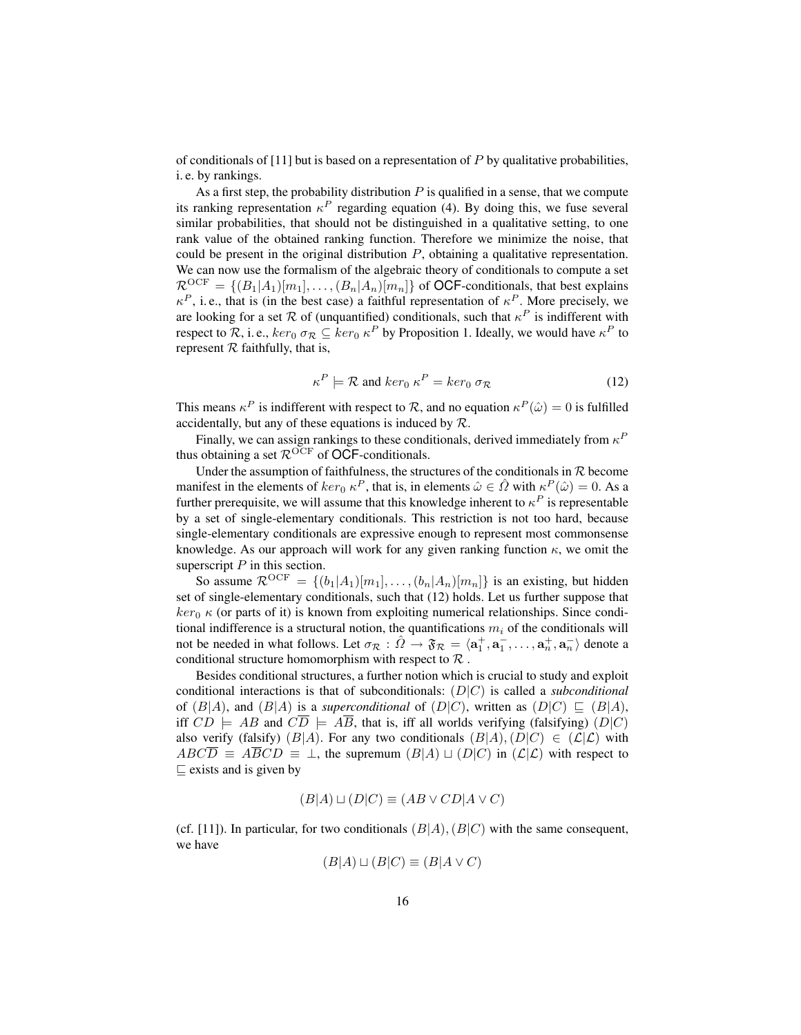of conditionals of  $[11]$  but is based on a representation of P by qualitative probabilities, i. e. by rankings.

As a first step, the probability distribution  $P$  is qualified in a sense, that we compute its ranking representation  $\kappa^P$  regarding equation (4). By doing this, we fuse several similar probabilities, that should not be distinguished in a qualitative setting, to one rank value of the obtained ranking function. Therefore we minimize the noise, that could be present in the original distribution  $P$ , obtaining a qualitative representation. We can now use the formalism of the algebraic theory of conditionals to compute a set  $\mathcal{R}^{\text{OCF}} = \{(B_1|A_1)[m_1], \ldots, (B_n|A_n)[m_n]\}\$  of **OCF**-conditionals, that best explains  $\kappa^P$ , i.e., that is (in the best case) a faithful representation of  $\kappa^P$ . More precisely, we are looking for a set  $R$  of (unquantified) conditionals, such that  $\kappa^P$  is indifferent with respect to R, i. e.,  $ker_0 \sigma_{\mathcal{R}} \subseteq ker_0 \kappa^P$  by Proposition 1. Ideally, we would have  $\kappa^P$  to represent  $R$  faithfully, that is,

$$
\kappa^P \models \mathcal{R} \text{ and } \ker_0 \kappa^P = \ker_0 \sigma_{\mathcal{R}} \tag{12}
$$

This means  $\kappa^P$  is indifferent with respect to  $\mathcal R$ , and no equation  $\kappa^P(\hat{\omega}) = 0$  is fulfilled accidentally, but any of these equations is induced by  $R$ .

Finally, we can assign rankings to these conditionals, derived immediately from  $\kappa^P$ thus obtaining a set  $\mathcal{R}^{OCF}$  of OCF-conditionals.

Under the assumption of faithfulness, the structures of the conditionals in  $R$  become manifest in the elements of  $ker_0 \kappa^P$ , that is, in elements  $\hat{\omega} \in \hat{\Omega}$  with  $\kappa^P(\hat{\omega}) = 0$ . As a further prerequisite, we will assume that this knowledge inherent to  $\kappa^P$  is representable by a set of single-elementary conditionals. This restriction is not too hard, because single-elementary conditionals are expressive enough to represent most commonsense knowledge. As our approach will work for any given ranking function  $\kappa$ , we omit the superscript  $P$  in this section.

So assume  $\mathcal{R}^{\text{OCF}} = \{(b_1|A_1)[m_1], \ldots, (b_n|A_n)[m_n]\}$  is an existing, but hidden set of single-elementary conditionals, such that (12) holds. Let us further suppose that  $ker_0 \kappa$  (or parts of it) is known from exploiting numerical relationships. Since conditional indifference is a structural notion, the quantifications  $m_i$  of the conditionals will not be needed in what follows. Let  $\sigma_{\mathcal{R}} : \hat{\Omega} \to \mathfrak{F}_{\mathcal{R}} = \langle a_1^+, a_1^-, \ldots, a_n^+, a_n^- \rangle$  denote a conditional structure homomorphism with respect to  $\mathcal R$ .

Besides conditional structures, a further notion which is crucial to study and exploit conditional interactions is that of subconditionals: (D|C) is called a *subconditional* of  $(B|A)$ , and  $(B|A)$  is a *superconditional* of  $(D|C)$ , written as  $(D|C) \subseteq (B|A)$ , iff  $CD \models AB$  and  $C\overline{D} \models \overline{AB}$ , that is, iff all worlds verifying (falsifying)  $(D|C)$ also verify (falsify) (B|A). For any two conditionals  $(B|A)$ ,  $(D|C) \in (L|C)$  with  $ABC\overline{D} \equiv \overline{AB}CD \equiv \perp$ , the supremum  $(B|A) \sqcup (D|C)$  in  $(L|C)$  with respect to  $\sqsubseteq$  exists and is given by

$$
(B|A) \sqcup (D|C) \equiv (AB \lor CD|A \lor C)
$$

(cf. [11]). In particular, for two conditionals  $(B|A)$ ,  $(B|C)$  with the same consequent, we have

$$
(B|A) \sqcup (B|C) \equiv (B|A \lor C)
$$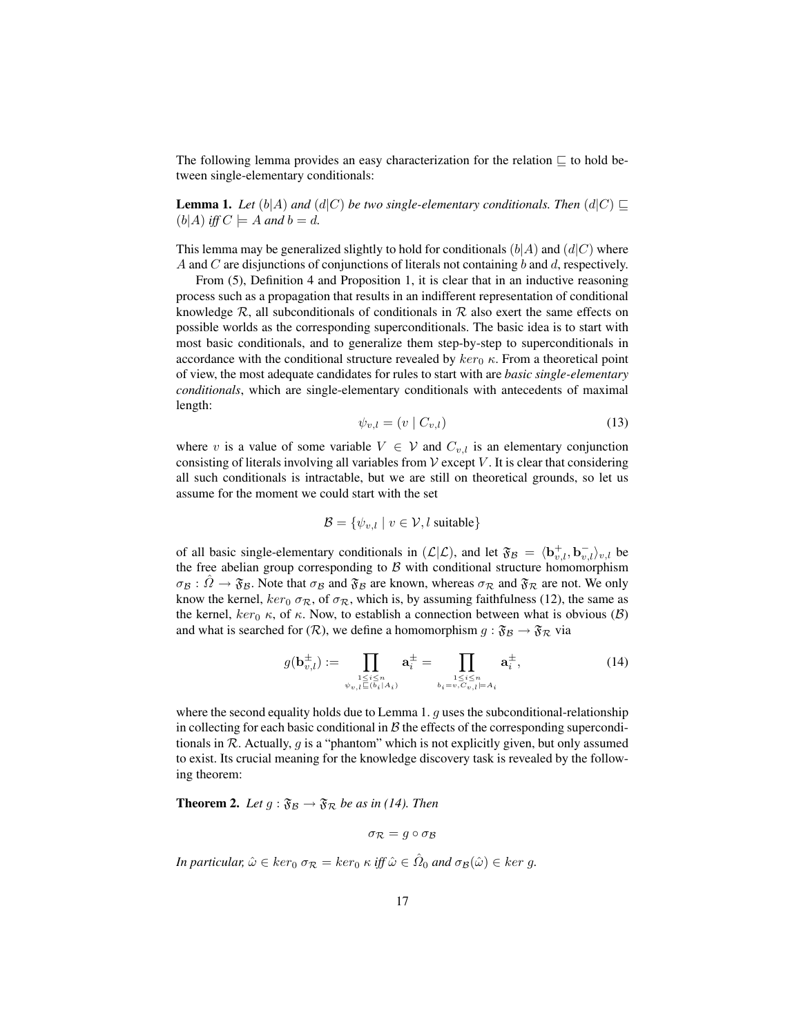The following lemma provides an easy characterization for the relation  $\sqsubseteq$  to hold between single-elementary conditionals:

**Lemma 1.** Let  $(b|A)$  and  $(d|C)$  be two single-elementary conditionals. Then  $(d|C) \sqsubseteq$  $(b|A)$  *iff*  $C \models A$  *and*  $b = d$ *.* 

This lemma may be generalized slightly to hold for conditionals  $(b|A)$  and  $(d|C)$  where A and C are disjunctions of conjunctions of literals not containing b and d, respectively.

From (5), Definition 4 and Proposition 1, it is clear that in an inductive reasoning process such as a propagation that results in an indifferent representation of conditional knowledge  $\mathcal{R}$ , all subconditionals of conditionals in  $\mathcal{R}$  also exert the same effects on possible worlds as the corresponding superconditionals. The basic idea is to start with most basic conditionals, and to generalize them step-by-step to superconditionals in accordance with the conditional structure revealed by  $ker_0 \kappa$ . From a theoretical point of view, the most adequate candidates for rules to start with are *basic single-elementary conditionals*, which are single-elementary conditionals with antecedents of maximal length:

$$
\psi_{v,l} = (v \mid C_{v,l}) \tag{13}
$$

where v is a value of some variable  $V \in V$  and  $C_{v,l}$  is an elementary conjunction consisting of literals involving all variables from  $\mathcal V$  except  $V$ . It is clear that considering all such conditionals is intractable, but we are still on theoretical grounds, so let us assume for the moment we could start with the set

$$
\mathcal{B} = \{ \psi_{v,l} \mid v \in \mathcal{V}, l \text{ suitable} \}
$$

of all basic single-elementary conditionals in  $(L|L)$ , and let  $\mathfrak{F}_B = \langle \mathbf{b}_{v,l}^+, \mathbf{b}_{v,l}^-, \mathbf{b}_{v,l} \rangle_{v,l}$  be the free abelian group corresponding to  $B$  with conditional structure homomorphism  $\sigma_B : \hat{\Omega} \to \mathfrak{F}_B$ . Note that  $\sigma_B$  and  $\mathfrak{F}_B$  are known, whereas  $\sigma_R$  and  $\mathfrak{F}_R$  are not. We only know the kernel,  $ker_0 \sigma_{\mathcal{R}}$ , of  $\sigma_{\mathcal{R}}$ , which is, by assuming faithfulness (12), the same as the kernel,  $ker_0 \kappa$ , of  $\kappa$ . Now, to establish a connection between what is obvious (B) and what is searched for  $(\mathcal{R})$ , we define a homomorphism  $g : \mathfrak{F}_\mathcal{B} \to \mathfrak{F}_\mathcal{R}$  via

$$
g(\mathbf{b}_{v,l}^{\pm}) := \prod_{\substack{1 \le i \le n \\ \psi_{v,l} \sqsubseteq (b_i|A_i)}} \mathbf{a}_i^{\pm} = \prod_{\substack{1 \le i \le n \\ b_i = v, C_{v,l} \models A_i}} \mathbf{a}_i^{\pm}, \tag{14}
$$

where the second equality holds due to Lemma 1.  $g$  uses the subconditional-relationship in collecting for each basic conditional in  $\beta$  the effects of the corresponding superconditionals in  $\mathcal R$ . Actually, q is a "phantom" which is not explicitly given, but only assumed to exist. Its crucial meaning for the knowledge discovery task is revealed by the following theorem:

**Theorem 2.** Let  $g : \mathfrak{F}_\mathcal{B} \to \mathfrak{F}_\mathcal{R}$  be as in (14). Then

$$
\sigma_{\mathcal{R}}=g\circ\sigma_{\mathcal{B}}
$$

*In particular,*  $\hat{\omega} \in ker_0$  $\sigma_{\mathcal{R}} = ker_0 \kappa$  *iff*  $\hat{\omega} \in \hat{\Omega}_0$  *and*  $\sigma_{\mathcal{B}}(\hat{\omega}) \in ker \ g$ *.*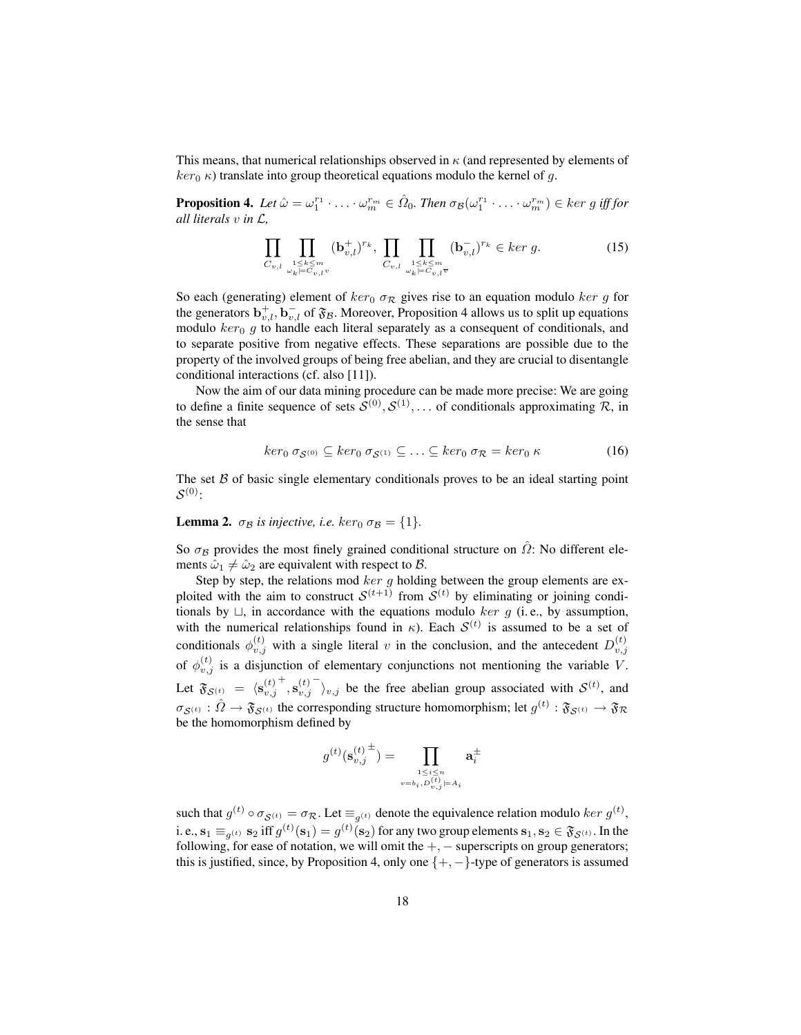This means, that numerical relationships observed in  $\kappa$  (and represented by elements of  $ker_0 \kappa$ ) translate into group theoretical equations modulo the kernel of g.

**Proposition 4.** Let  $\hat{\omega} = \omega_1^{r_1} \cdot \ldots \cdot \omega_m^{r_m} \in \hat{\Omega}_0$ . Then  $\sigma_{\mathcal{B}}(\omega_1^{r_1} \cdot \ldots \cdot \omega_m^{r_m}) \in \text{ker } g$  iff for *all literals* v *in* L*,*

$$
\prod_{C_{v,l}} \prod_{\substack{1 \le k \le m \\ \omega_k \models C_{v,l}v}} (b_{v,l}^+)^{r_k}, \prod_{C_{v,l}} \prod_{\substack{1 \le k \le m \\ \omega_k \models C_{v,l}v}} (b_{v,l}^-)^{r_k} \in \ker g. \tag{15}
$$

So each (generating) element of  $ker_0 \sigma_{\mathcal{R}}$  gives rise to an equation modulo  $ker g$  for the generators  $\mathbf{b}_{v,l}^+$ ,  $\mathbf{b}_{v,l}^-$  of  $\mathfrak{F}_\mathcal{B}$ . Moreover, Proposition 4 allows us to split up equations modulo  $ker_0 g$  to handle each literal separately as a consequent of conditionals, and to separate positive from negative effects. These separations are possible due to the property of the involved groups of being free abelian, and they are crucial to disentangle conditional interactions (cf. also [11]).

Now the aim of our data mining procedure can be made more precise: We are going to define a finite sequence of sets  $S^{(0)}, S^{(1)}, \dots$  of conditionals approximating R, in the sense that

$$
ker_0 \sigma_{\mathcal{S}^{(0)}} \subseteq ker_0 \sigma_{\mathcal{S}^{(1)}} \subseteq \ldots \subseteq ker_0 \sigma_{\mathcal{R}} = ker_0 \kappa \tag{16}
$$

The set  $\beta$  of basic single elementary conditionals proves to be an ideal starting point  $\mathcal{S}^{(0)}$  :

#### **Lemma 2.**  $\sigma_B$  *is injective, i.e.* ker<sub>0</sub>  $\sigma_B = \{1\}$ *.*

So  $\sigma_B$  provides the most finely grained conditional structure on  $\hat{\Omega}$ : No different elements  $\hat{\omega}_1 \neq \hat{\omega}_2$  are equivalent with respect to B.

Step by step, the relations mod  $ker g$  holding between the group elements are exploited with the aim to construct  $S^{(t+1)}$  from  $S^{(t)}$  by eliminating or joining conditionals by  $\sqcup$ , in accordance with the equations modulo ker g (i.e., by assumption, with the numerical relationships found in  $\kappa$ ). Each  $\mathcal{S}^{(t)}$  is assumed to be a set of conditionals  $\phi_{v,j}^{(t)}$  with a single literal v in the conclusion, and the antecedent  $D_{v,j}^{(t)}$ of  $\phi_{v,j}^{(t)}$  is a disjunction of elementary conjunctions not mentioning the variable V. Let  $\mathfrak{F}_{\mathcal{S}^{(t)}} = \langle \mathbf{s}_{v,j}^{(t)} \rangle$  $^{+},\mathbf{s}^{(t)}_{v,j}$  $\bigcap_{v,j}$  be the free abelian group associated with  $\mathcal{S}^{(t)}$ , and  $\sigma_{\mathcal{S}^{(t)}}:\hat{\Omega}\to\mathfrak{F}_{\mathcal{S}^{(t)}}$  the corresponding structure homomorphism; let  $g^{(t)}:\mathfrak{F}_{\mathcal{S}^{(t)}}\to\mathfrak{F}_{\mathcal{R}}$ be the homomorphism defined by

$$
g^{(t)}(\mathbf{s}^{(t)\, \pm}_{v,j}) = \prod_{\stackrel{1\leq i \leq n}{v = b_i, D^{(t)}_{v,j} \models A_i}} \mathbf{a}^{\pm}_i
$$

such that  $g^{(t)} \circ \sigma_{\mathcal{S}^{(t)}} = \sigma_{\mathcal{R}}$ . Let  $\equiv_{g^{(t)}}$  denote the equivalence relation modulo  $ker g^{(t)}$ , i. e.,  $\mathbf{s}_1 \equiv_{g^{(t)}} \mathbf{s}_2$  iff  $g^{(t)}(\mathbf{s}_1) = g^{(t)}(\mathbf{s}_2)$  for any two group elements  $\mathbf{s}_1, \mathbf{s}_2 \in \mathfrak{F}_{\mathcal{S}^{(t)}}$ . In the following, for ease of notation, we will omit the  $+$ ,  $-$  superscripts on group generators; this is justified, since, by Proposition 4, only one  $\{+, -\}$ -type of generators is assumed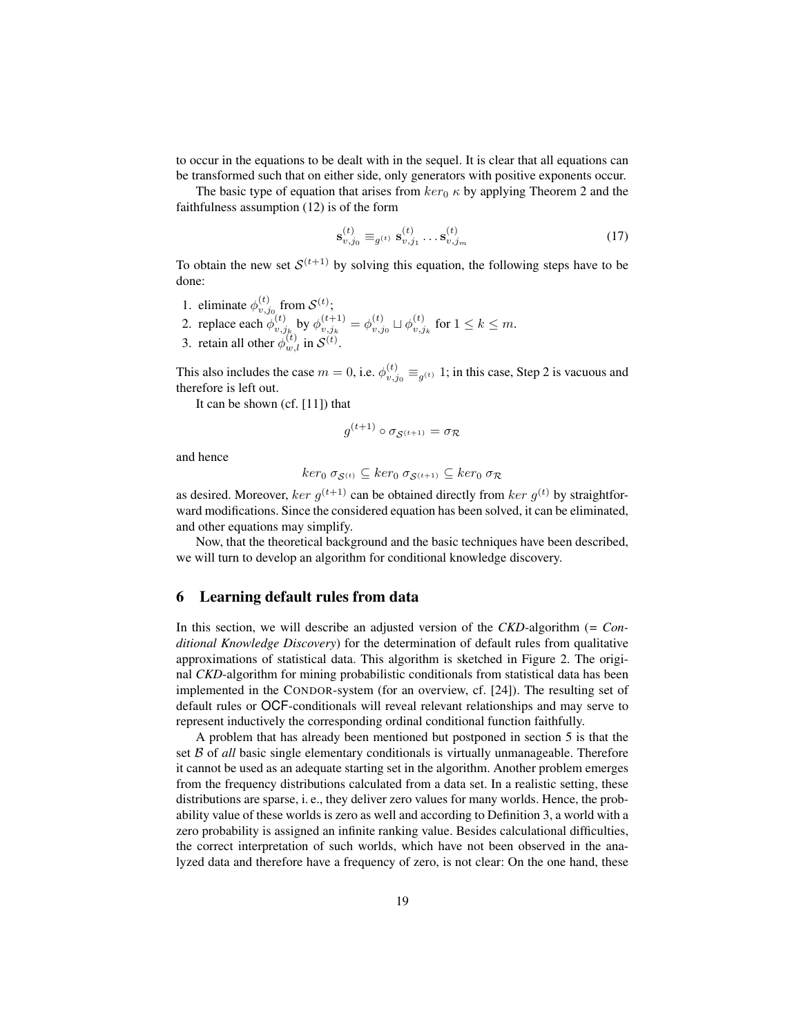to occur in the equations to be dealt with in the sequel. It is clear that all equations can be transformed such that on either side, only generators with positive exponents occur.

The basic type of equation that arises from  $ker_0 \kappa$  by applying Theorem 2 and the faithfulness assumption (12) is of the form

$$
\mathbf{s}_{v,j_0}^{(t)} \equiv_{g^{(t)}} \mathbf{s}_{v,j_1}^{(t)} \dots \mathbf{s}_{v,j_m}^{(t)} \tag{17}
$$

To obtain the new set  $\mathcal{S}^{(t+1)}$  by solving this equation, the following steps have to be done:

- 1. eliminate  $\phi_{v,j_0}^{(t)}$  from  $\mathcal{S}^{(t)}$ ;
- 2. replace each  $\phi_{v,j_k}^{(t)}$  by  $\phi_{v,j_k}^{(t+1)} = \phi_{v,j_0}^{(t)} \sqcup \phi_{v,j_k}^{(t)}$  for  $1 \le k \le m$ .
- 3. retain all other  $\phi_{w,l}^{(t)}$  in  $\mathcal{S}^{(t)}$ .

This also includes the case  $m = 0$ , i.e.  $\phi_{v,j_0}^{(t)} \equiv_{g^{(t)}} 1$ ; in this case, Step 2 is vacuous and therefore is left out.

It can be shown (cf. [11]) that

$$
g^{(t+1)} \circ \sigma_{\mathcal{S}^{(t+1)}} = \sigma_{\mathcal{R}}
$$

and hence

$$
ker_0 \sigma_{\mathcal{S}^{(t)}} \subseteq ker_0 \sigma_{\mathcal{S}^{(t+1)}} \subseteq ker_0 \sigma_{\mathcal{R}}
$$

as desired. Moreover, ker  $g^{(t+1)}$  can be obtained directly from ker  $g^{(t)}$  by straightforward modifications. Since the considered equation has been solved, it can be eliminated, and other equations may simplify.

Now, that the theoretical background and the basic techniques have been described, we will turn to develop an algorithm for conditional knowledge discovery.

# 6 Learning default rules from data

In this section, we will describe an adjusted version of the *CKD*-algorithm (*= Conditional Knowledge Discovery*) for the determination of default rules from qualitative approximations of statistical data. This algorithm is sketched in Figure 2. The original *CKD*-algorithm for mining probabilistic conditionals from statistical data has been implemented in the CONDOR-system (for an overview, cf. [24]). The resulting set of default rules or OCF-conditionals will reveal relevant relationships and may serve to represent inductively the corresponding ordinal conditional function faithfully.

A problem that has already been mentioned but postponed in section 5 is that the set B of *all* basic single elementary conditionals is virtually unmanageable. Therefore it cannot be used as an adequate starting set in the algorithm. Another problem emerges from the frequency distributions calculated from a data set. In a realistic setting, these distributions are sparse, i. e., they deliver zero values for many worlds. Hence, the probability value of these worlds is zero as well and according to Definition 3, a world with a zero probability is assigned an infinite ranking value. Besides calculational difficulties, the correct interpretation of such worlds, which have not been observed in the analyzed data and therefore have a frequency of zero, is not clear: On the one hand, these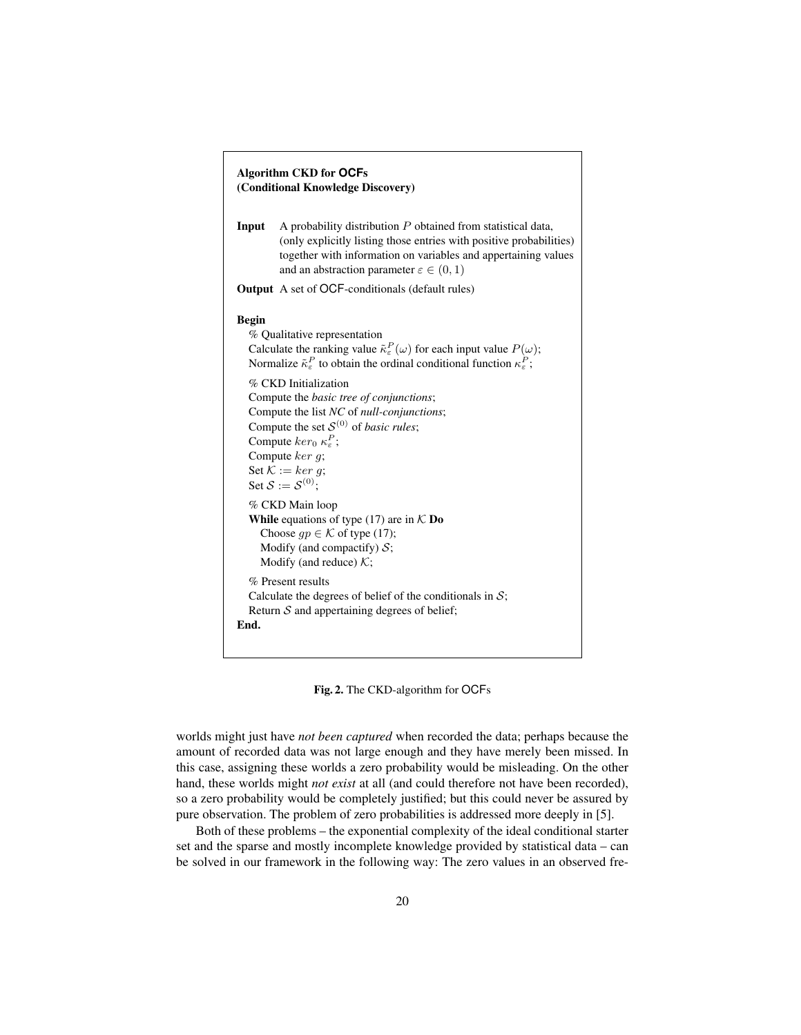| <b>Algorithm CKD for OCFs</b><br>(Conditional Knowledge Discovery) |                                                                                                                                                                                                                                                                                                                                                                                                                                                                                                                                                 |  |
|--------------------------------------------------------------------|-------------------------------------------------------------------------------------------------------------------------------------------------------------------------------------------------------------------------------------------------------------------------------------------------------------------------------------------------------------------------------------------------------------------------------------------------------------------------------------------------------------------------------------------------|--|
| Input                                                              | A probability distribution $P$ obtained from statistical data,<br>(only explicitly listing those entries with positive probabilities)<br>together with information on variables and appertaining values<br>and an abstraction parameter $\varepsilon \in (0,1)$                                                                                                                                                                                                                                                                                 |  |
|                                                                    | <b>Output</b> A set of OCF-conditionals (default rules)                                                                                                                                                                                                                                                                                                                                                                                                                                                                                         |  |
| <b>Begin</b>                                                       | % Qualitative representation<br>Calculate the ranking value $\tilde{\kappa}_{\varepsilon}^P(\omega)$ for each input value $P(\omega)$ ;<br>Normalize $\tilde{\kappa}_{\varepsilon}^P$ to obtain the ordinal conditional function $\kappa_{\varepsilon}^P$ ;<br>% CKD Initialization<br>Compute the basic tree of conjunctions;<br>Compute the list NC of null-conjunctions;<br>Compute the set $S^{(0)}$ of <i>basic rules</i> ;<br>Compute $ker_0 \kappa_{\varepsilon}^P$ ;<br>Compute $ker q$ ;<br>Set $K := ker g$ ;<br>Set $S := S^{(0)}$ : |  |
|                                                                    | % CKD Main loop<br><b>While</b> equations of type (17) are in $K$ <b>Do</b><br>Choose $qp \in \mathcal{K}$ of type (17);<br>Modify (and compactify) $S$ ;<br>Modify (and reduce) $K$ ;                                                                                                                                                                                                                                                                                                                                                          |  |
| End.                                                               | % Present results<br>Calculate the degrees of belief of the conditionals in $S$ ;<br>Return $S$ and appertaining degrees of belief;                                                                                                                                                                                                                                                                                                                                                                                                             |  |

Fig. 2. The CKD-algorithm for OCFs

worlds might just have *not been captured* when recorded the data; perhaps because the amount of recorded data was not large enough and they have merely been missed. In this case, assigning these worlds a zero probability would be misleading. On the other hand, these worlds might *not exist* at all (and could therefore not have been recorded), so a zero probability would be completely justified; but this could never be assured by pure observation. The problem of zero probabilities is addressed more deeply in [5].

Both of these problems – the exponential complexity of the ideal conditional starter set and the sparse and mostly incomplete knowledge provided by statistical data – can be solved in our framework in the following way: The zero values in an observed fre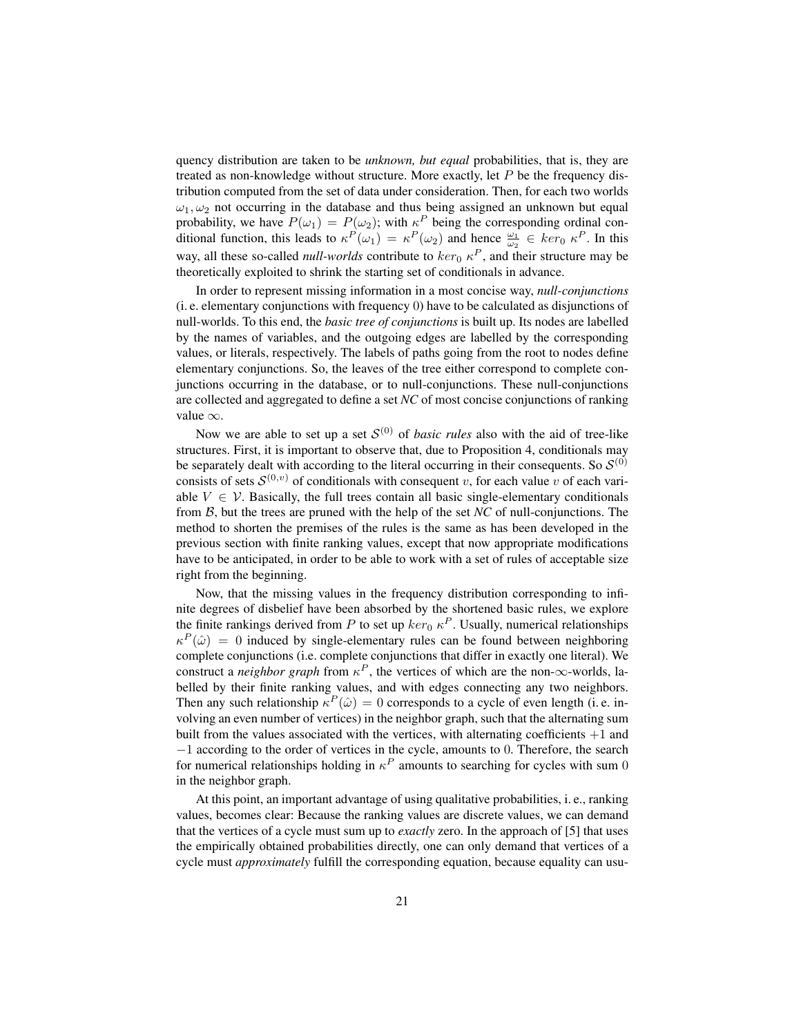quency distribution are taken to be *unknown, but equal* probabilities, that is, they are treated as non-knowledge without structure. More exactly, let  $P$  be the frequency distribution computed from the set of data under consideration. Then, for each two worlds  $\omega_1, \omega_2$  not occurring in the database and thus being assigned an unknown but equal probability, we have  $P(\omega_1) = P(\omega_2)$ ; with  $\kappa^P$  being the corresponding ordinal conditional function, this leads to  $\kappa^P(\omega_1) = \kappa^P(\omega_2)$  and hence  $\frac{\omega_1}{\omega_2} \in \ker_0 \kappa^P$ . In this way, all these so-called *null-worlds* contribute to  $\ker_0 \kappa^P$ , and their structure may be theoretically exploited to shrink the starting set of conditionals in advance.

In order to represent missing information in a most concise way, *null-conjunctions* (i. e. elementary conjunctions with frequency 0) have to be calculated as disjunctions of null-worlds. To this end, the *basic tree of conjunctions* is built up. Its nodes are labelled by the names of variables, and the outgoing edges are labelled by the corresponding values, or literals, respectively. The labels of paths going from the root to nodes define elementary conjunctions. So, the leaves of the tree either correspond to complete conjunctions occurring in the database, or to null-conjunctions. These null-conjunctions are collected and aggregated to define a set *NC* of most concise conjunctions of ranking value ∞.

Now we are able to set up a set  $S^{(0)}$  of *basic rules* also with the aid of tree-like structures. First, it is important to observe that, due to Proposition 4, conditionals may be separately dealt with according to the literal occurring in their consequents. So  $\mathcal{S}^{(0)}$ consists of sets  $\mathcal{S}^{(0,v)}$  of conditionals with consequent v, for each value v of each variable  $V \in V$ . Basically, the full trees contain all basic single-elementary conditionals from B, but the trees are pruned with the help of the set *NC* of null-conjunctions. The method to shorten the premises of the rules is the same as has been developed in the previous section with finite ranking values, except that now appropriate modifications have to be anticipated, in order to be able to work with a set of rules of acceptable size right from the beginning.

Now, that the missing values in the frequency distribution corresponding to infinite degrees of disbelief have been absorbed by the shortened basic rules, we explore the finite rankings derived from P to set up  $\ker_0 \kappa^P$ . Usually, numerical relationships  $\kappa^P(\hat{\omega}) = 0$  induced by single-elementary rules can be found between neighboring complete conjunctions (i.e. complete conjunctions that differ in exactly one literal). We construct a *neighbor graph* from  $\kappa^P$ , the vertices of which are the non- $\infty$ -worlds, labelled by their finite ranking values, and with edges connecting any two neighbors. Then any such relationship  $\kappa^P(\hat{\omega}) = 0$  corresponds to a cycle of even length (i.e. involving an even number of vertices) in the neighbor graph, such that the alternating sum built from the values associated with the vertices, with alternating coefficients  $+1$  and −1 according to the order of vertices in the cycle, amounts to 0. Therefore, the search for numerical relationships holding in  $\kappa^P$  amounts to searching for cycles with sum 0 in the neighbor graph.

At this point, an important advantage of using qualitative probabilities, i. e., ranking values, becomes clear: Because the ranking values are discrete values, we can demand that the vertices of a cycle must sum up to *exactly* zero. In the approach of [5] that uses the empirically obtained probabilities directly, one can only demand that vertices of a cycle must *approximately* fulfill the corresponding equation, because equality can usu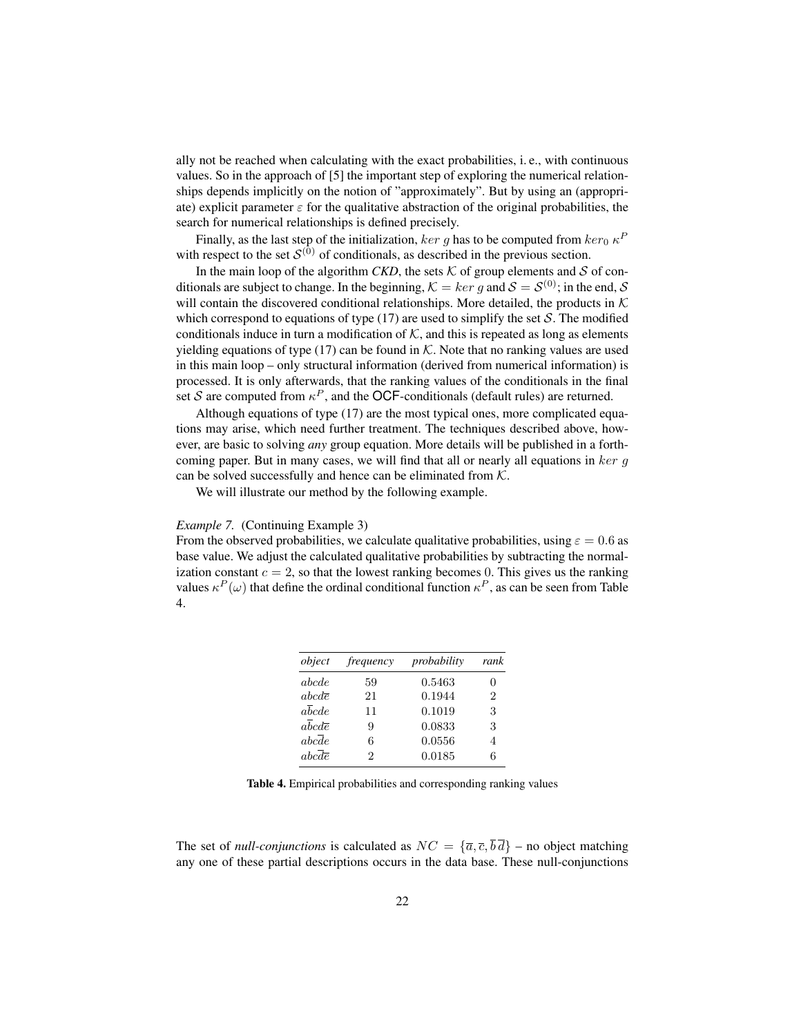ally not be reached when calculating with the exact probabilities, i. e., with continuous values. So in the approach of [5] the important step of exploring the numerical relationships depends implicitly on the notion of "approximately". But by using an (appropriate) explicit parameter  $\varepsilon$  for the qualitative abstraction of the original probabilities, the search for numerical relationships is defined precisely.

Finally, as the last step of the initialization,  $ker\ g$  has to be computed from  $ker_0\ \kappa^P$ with respect to the set  $\mathcal{S}^{(0)}$  of conditionals, as described in the previous section.

In the main loop of the algorithm *CKD*, the sets  $K$  of group elements and  $S$  of conditionals are subject to change. In the beginning,  $\mathcal{K} = ker g$  and  $\mathcal{S} = \mathcal{S}^{(0)}$ ; in the end,  $\mathcal{S}$ will contain the discovered conditional relationships. More detailed, the products in  $K$ which correspond to equations of type  $(17)$  are used to simplify the set S. The modified conditionals induce in turn a modification of  $K$ , and this is repeated as long as elements yielding equations of type (17) can be found in  $K$ . Note that no ranking values are used in this main loop – only structural information (derived from numerical information) is processed. It is only afterwards, that the ranking values of the conditionals in the final set S are computed from  $\kappa^P$ , and the OCF-conditionals (default rules) are returned.

Although equations of type (17) are the most typical ones, more complicated equations may arise, which need further treatment. The techniques described above, however, are basic to solving *any* group equation. More details will be published in a forthcoming paper. But in many cases, we will find that all or nearly all equations in  $ker g$ can be solved successfully and hence can be eliminated from  $K$ .

We will illustrate our method by the following example.

#### *Example 7.* (Continuing Example 3)

From the observed probabilities, we calculate qualitative probabilities, using  $\varepsilon = 0.6$  as base value. We adjust the calculated qualitative probabilities by subtracting the normalization constant  $c = 2$ , so that the lowest ranking becomes 0. This gives us the ranking values  $\kappa^P(\omega)$  that define the ordinal conditional function  $\kappa^P$ , as can be seen from Table 4.

| object                        | <i>frequency</i> | probability | rank |
|-------------------------------|------------------|-------------|------|
| abcde                         | 59               | 0.5463      | 0    |
| $abc d\overline{e}$           | 21               | 0.1944      | 2    |
| $a\overline{b}cde$            | 11               | 0.1019      | 3    |
| $a\overline{b}cd\overline{e}$ | 9                | 0.0833      | 3    |
| $abc\overline{d}e$            | 6                | 0.0556      | 4    |
| $abc\bar{d}\bar{e}$           | 2                | 0.0185      | 6    |

Table 4. Empirical probabilities and corresponding ranking values

The set of *null-conjunctions* is calculated as  $NC = {\overline{a}, \overline{c}, \overline{b}\overline{d}}$  – no object matching any one of these partial descriptions occurs in the data base. These null-conjunctions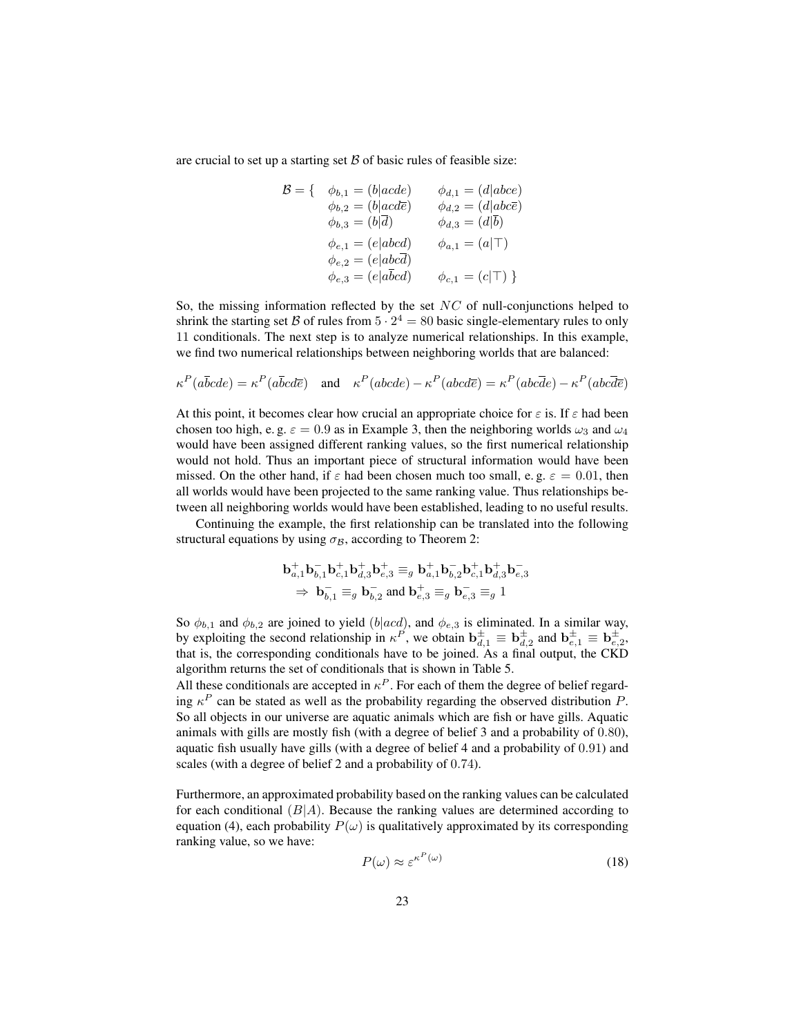are crucial to set up a starting set  $\beta$  of basic rules of feasible size:

$$
\mathcal{B} = \left\{ \begin{array}{ll} \phi_{b,1} = (b \mid acde) & \phi_{d,1} = (d \mid abce) \\ \phi_{b,2} = (b \mid acde) & \phi_{d,2} = (d \mid abc\overline{e}) \\ \phi_{b,3} = (b \mid \overline{d}) & \phi_{d,3} = (d \mid \overline{b}) \\ \phi_{e,1} = (e \mid abcd) & \phi_{a,1} = (a \mid \top) \\ \phi_{e,2} = (e \mid abc\overline{d}) & \phi_{c,1} = (c \mid \top) \end{array} \right\}
$$

So, the missing information reflected by the set  $NC$  of null-conjunctions helped to shrink the starting set B of rules from  $5 \cdot 2^4 = 80$  basic single-elementary rules to only 11 conditionals. The next step is to analyze numerical relationships. In this example, we find two numerical relationships between neighboring worlds that are balanced:

$$
\kappa^P(a\overline{b}cde) = \kappa^P(a\overline{b}c d\overline{e}) \quad \text{and} \quad \kappa^P(abcde) - \kappa^P(abcd\overline{e}) = \kappa^P(abc\overline{d}e) - \kappa^P(abc\overline{d}\overline{e})
$$

At this point, it becomes clear how crucial an appropriate choice for  $\varepsilon$  is. If  $\varepsilon$  had been chosen too high, e. g.  $\varepsilon = 0.9$  as in Example 3, then the neighboring worlds  $\omega_3$  and  $\omega_4$ would have been assigned different ranking values, so the first numerical relationship would not hold. Thus an important piece of structural information would have been missed. On the other hand, if  $\varepsilon$  had been chosen much too small, e.g.  $\varepsilon = 0.01$ , then all worlds would have been projected to the same ranking value. Thus relationships between all neighboring worlds would have been established, leading to no useful results.

Continuing the example, the first relationship can be translated into the following structural equations by using  $\sigma_B$ , according to Theorem 2:

$$
\mathbf{b}_{a,1}^{+}\mathbf{b}_{b,1}^{-}\mathbf{b}_{c,1}^{+}\mathbf{b}_{d,3}^{+}\mathbf{b}_{e,3}^{+} \equiv_{g} \mathbf{b}_{a,1}^{+}\mathbf{b}_{b,2}^{-}\mathbf{b}_{c,1}^{+}\mathbf{b}_{d,3}^{+}\mathbf{b}_{e,3}^{-}
$$
  
\n
$$
\Rightarrow \mathbf{b}_{b,1}^{-}\equiv_{g} \mathbf{b}_{b,2}^{-}\text{ and } \mathbf{b}_{e,3}^{+}\equiv_{g} \mathbf{b}_{e,3}^{-}\equiv_{g} 1
$$

So  $\phi_{b,1}$  and  $\phi_{b,2}$  are joined to yield (b|acd), and  $\phi_{e,3}$  is eliminated. In a similar way, by exploiting the second relationship in  $\kappa^P$ , we obtain  $\mathbf{b}_{d,1}^{\pm} \equiv \mathbf{b}_{d,2}^{\pm}$  and  $\mathbf{b}_{e,1}^{\pm} \equiv \mathbf{b}_{e,2}^{\pm}$ , that is, the corresponding conditionals have to be joined. As a final output, the CKD algorithm returns the set of conditionals that is shown in Table 5.

All these conditionals are accepted in  $\kappa^P$ . For each of them the degree of belief regarding  $\kappa^P$  can be stated as well as the probability regarding the observed distribution P. So all objects in our universe are aquatic animals which are fish or have gills. Aquatic animals with gills are mostly fish (with a degree of belief 3 and a probability of 0.80), aquatic fish usually have gills (with a degree of belief 4 and a probability of 0.91) and scales (with a degree of belief 2 and a probability of 0.74).

Furthermore, an approximated probability based on the ranking values can be calculated for each conditional  $(B|A)$ . Because the ranking values are determined according to equation (4), each probability  $P(\omega)$  is qualitatively approximated by its corresponding ranking value, so we have:

$$
P(\omega) \approx \varepsilon^{\kappa^P(\omega)} \tag{18}
$$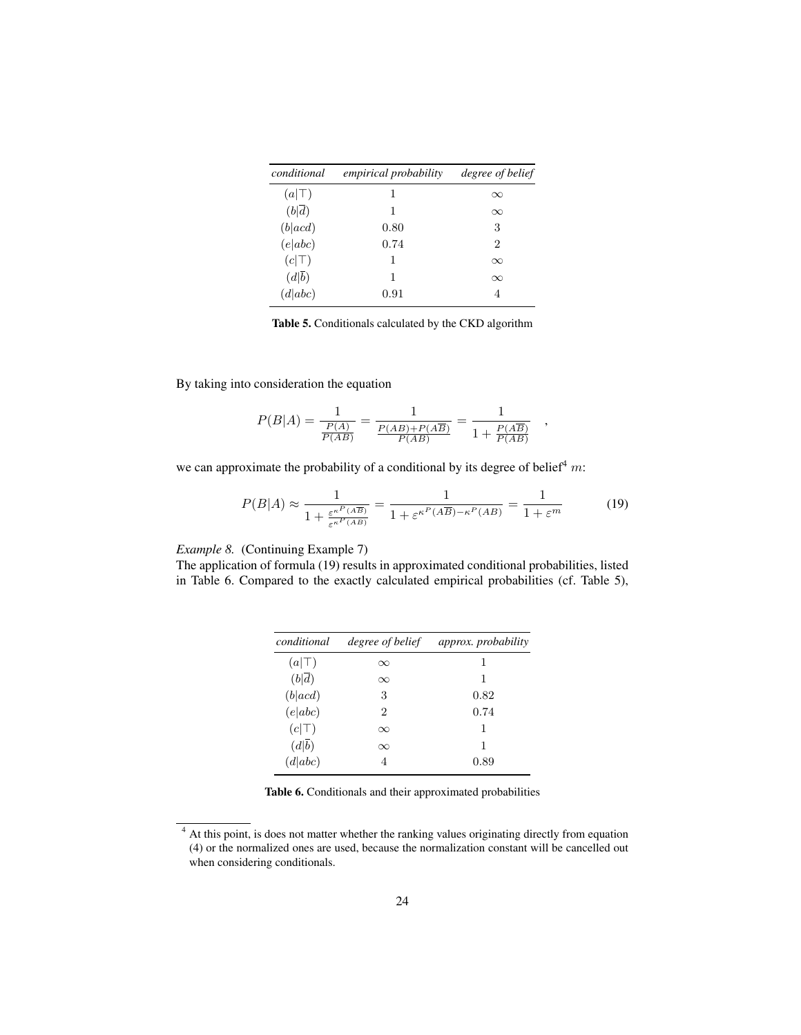| conditional        | <i>empirical probability</i> | degree of belief |
|--------------------|------------------------------|------------------|
| $(a \top)$         | 1                            | $\infty$         |
| $(b \overline{d})$ | 1                            | $\infty$         |
| (b acd)            | 0.80                         | 3                |
| (e abc)            | 0.74                         | 2                |
| $(c \top)$         | 1                            | $\infty$         |
| (d b)              | 1                            | $\infty$         |
| (d abc)            | 0.91                         | 4                |
|                    |                              |                  |

Table 5. Conditionals calculated by the CKD algorithm

By taking into consideration the equation

$$
P(B|A) = \frac{1}{\frac{P(A)}{P(AB)}} = \frac{1}{\frac{P(AB) + P(A\overline{B})}{P(AB)}} = \frac{1}{1 + \frac{P(A\overline{B})}{P(AB)}}
$$

we can approximate the probability of a conditional by its degree of belief<sup>4</sup> m:

$$
P(B|A) \approx \frac{1}{1 + \frac{\varepsilon^{\kappa P}(A\overline{B})}{\varepsilon^{\kappa P}(AB)}} = \frac{1}{1 + \varepsilon^{\kappa P}(A\overline{B}) - \kappa^P(A\overline{B})} = \frac{1}{1 + \varepsilon^m}
$$
(19)

,

*Example 8.* (Continuing Example 7)

The application of formula (19) results in approximated conditional probabilities, listed in Table 6. Compared to the exactly calculated empirical probabilities (cf. Table 5),

| conditional        | degree of belief | approx. probability |
|--------------------|------------------|---------------------|
| $(a \top)$         | $\infty$         | 1                   |
| $(b \overline{d})$ | $\infty$         |                     |
| (b acd)            | 3                | 0.82                |
| (e abc)            | 2                | 0.74                |
| $(c \top)$         | $\infty$         | 1                   |
| (d b)              | $\infty$         | 1                   |
| (d abc)            | 4                | 0.89                |

Table 6. Conditionals and their approximated probabilities

<sup>&</sup>lt;sup>4</sup> At this point, is does not matter whether the ranking values originating directly from equation (4) or the normalized ones are used, because the normalization constant will be cancelled out when considering conditionals.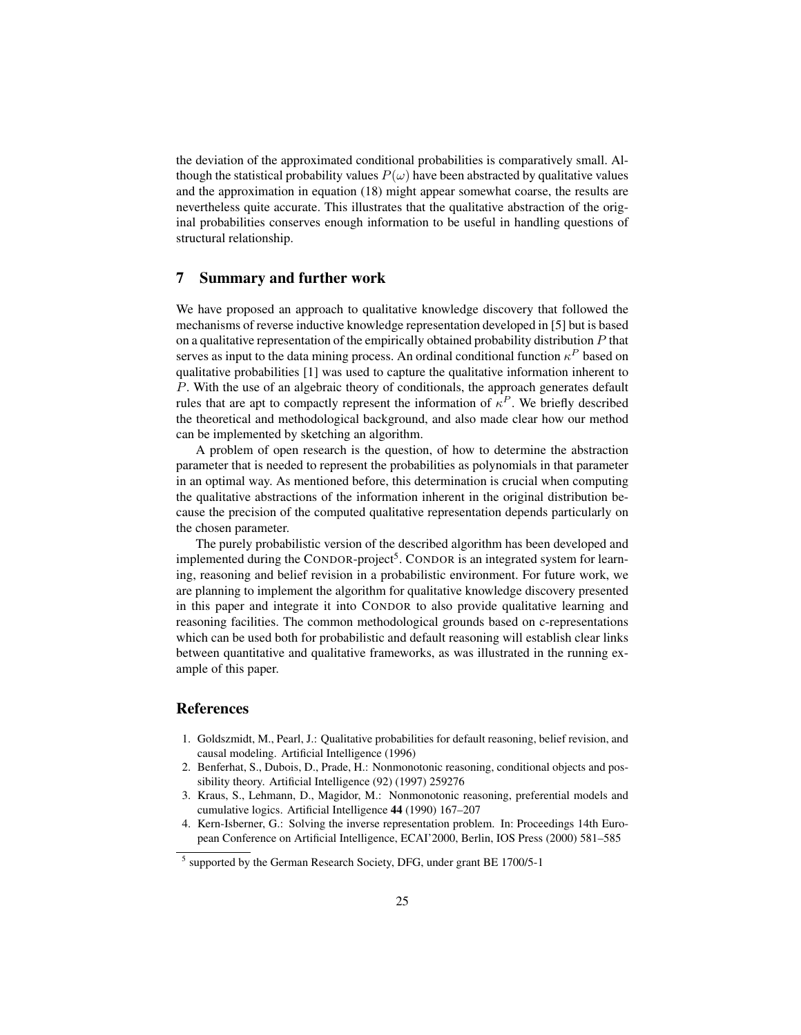the deviation of the approximated conditional probabilities is comparatively small. Although the statistical probability values  $P(\omega)$  have been abstracted by qualitative values and the approximation in equation (18) might appear somewhat coarse, the results are nevertheless quite accurate. This illustrates that the qualitative abstraction of the original probabilities conserves enough information to be useful in handling questions of structural relationship.

## 7 Summary and further work

We have proposed an approach to qualitative knowledge discovery that followed the mechanisms of reverse inductive knowledge representation developed in [5] but is based on a qualitative representation of the empirically obtained probability distribution  $P$  that serves as input to the data mining process. An ordinal conditional function  $\kappa^P$  based on qualitative probabilities [1] was used to capture the qualitative information inherent to P. With the use of an algebraic theory of conditionals, the approach generates default rules that are apt to compactly represent the information of  $\kappa^P$ . We briefly described the theoretical and methodological background, and also made clear how our method can be implemented by sketching an algorithm.

A problem of open research is the question, of how to determine the abstraction parameter that is needed to represent the probabilities as polynomials in that parameter in an optimal way. As mentioned before, this determination is crucial when computing the qualitative abstractions of the information inherent in the original distribution because the precision of the computed qualitative representation depends particularly on the chosen parameter.

The purely probabilistic version of the described algorithm has been developed and implemented during the CONDOR-project<sup>5</sup>. CONDOR is an integrated system for learning, reasoning and belief revision in a probabilistic environment. For future work, we are planning to implement the algorithm for qualitative knowledge discovery presented in this paper and integrate it into CONDOR to also provide qualitative learning and reasoning facilities. The common methodological grounds based on c-representations which can be used both for probabilistic and default reasoning will establish clear links between quantitative and qualitative frameworks, as was illustrated in the running example of this paper.

# **References**

- 1. Goldszmidt, M., Pearl, J.: Qualitative probabilities for default reasoning, belief revision, and causal modeling. Artificial Intelligence (1996)
- 2. Benferhat, S., Dubois, D., Prade, H.: Nonmonotonic reasoning, conditional objects and possibility theory. Artificial Intelligence (92) (1997) 259276
- 3. Kraus, S., Lehmann, D., Magidor, M.: Nonmonotonic reasoning, preferential models and cumulative logics. Artificial Intelligence 44 (1990) 167–207
- 4. Kern-Isberner, G.: Solving the inverse representation problem. In: Proceedings 14th European Conference on Artificial Intelligence, ECAI'2000, Berlin, IOS Press (2000) 581–585

<sup>&</sup>lt;sup>5</sup> supported by the German Research Society, DFG, under grant BE 1700/5-1